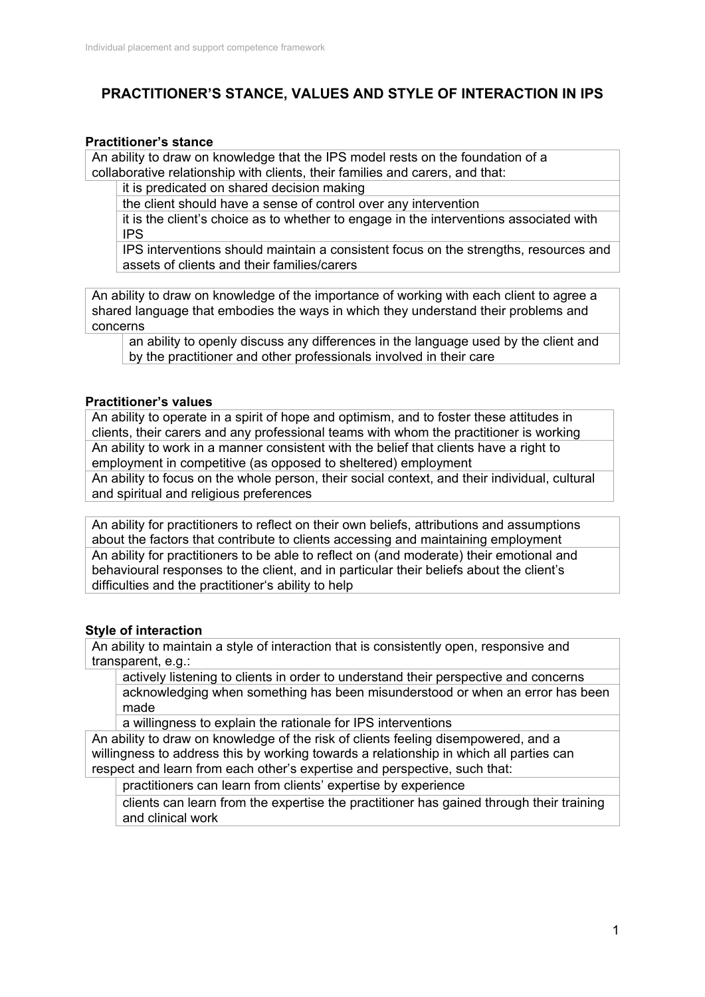# **PRACTITIONER'S STANCE, VALUES AND STYLE OF INTERACTION IN IPS**

### **Practitioner's stance**

An ability to draw on knowledge that the IPS model rests on the foundation of a collaborative relationship with clients, their families and carers, and that:

it is predicated on shared decision making

the client should have a sense of control over any intervention

it is the client's choice as to whether to engage in the interventions associated with IPS

IPS interventions should maintain a consistent focus on the strengths, resources and assets of clients and their families/carers

An ability to draw on knowledge of the importance of working with each client to agree a shared language that embodies the ways in which they understand their problems and concerns

an ability to openly discuss any differences in the language used by the client and by the practitioner and other professionals involved in their care

### **Practitioner's values**

An ability to operate in a spirit of hope and optimism, and to foster these attitudes in clients, their carers and any professional teams with whom the practitioner is working An ability to work in a manner consistent with the belief that clients have a right to employment in competitive (as opposed to sheltered) employment An ability to focus on the whole person, their social context, and their individual, cultural and spiritual and religious preferences

An ability for practitioners to reflect on their own beliefs, attributions and assumptions about the factors that contribute to clients accessing and maintaining employment An ability for practitioners to be able to reflect on (and moderate) their emotional and behavioural responses to the client, and in particular their beliefs about the client's difficulties and the practitioner's ability to help

## **Style of interaction**

An ability to maintain a style of interaction that is consistently open, responsive and transparent, e.g.:

actively listening to clients in order to understand their perspective and concerns acknowledging when something has been misunderstood or when an error has been made

a willingness to explain the rationale for IPS interventions

An ability to draw on knowledge of the risk of clients feeling disempowered, and a willingness to address this by working towards a relationship in which all parties can respect and learn from each other's expertise and perspective, such that:

practitioners can learn from clients' expertise by experience

clients can learn from the expertise the practitioner has gained through their training and clinical work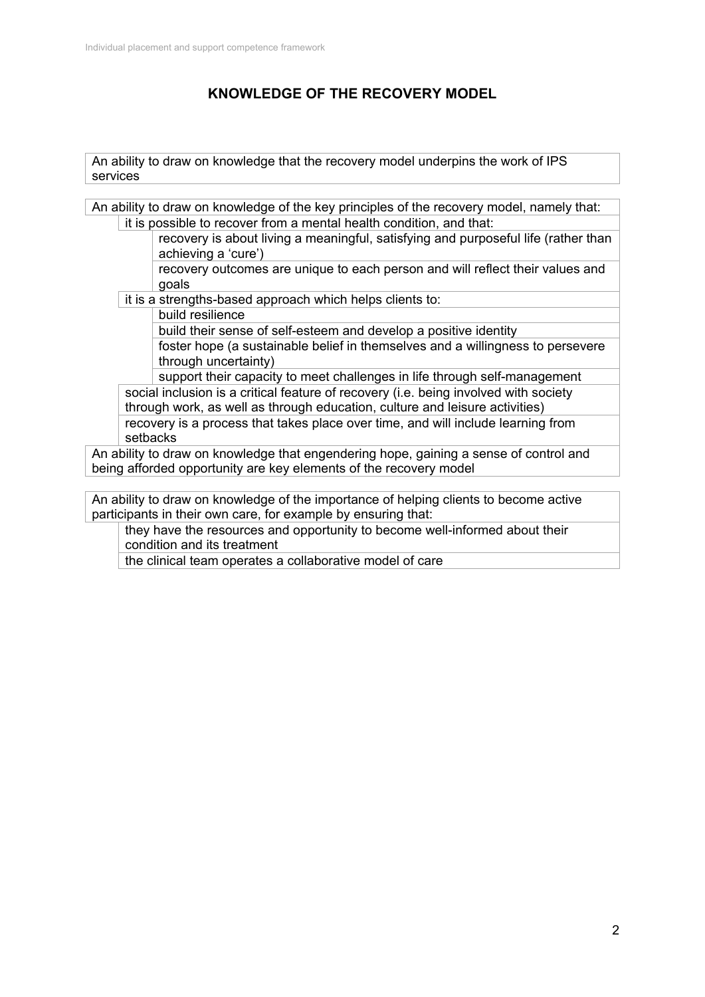# **KNOWLEDGE OF THE RECOVERY MODEL**

An ability to draw on knowledge that the recovery model underpins the work of IPS services

An ability to draw on knowledge of the key principles of the recovery model, namely that: it is possible to recover from a mental health condition, and that:

> recovery is about living a meaningful, satisfying and purposeful life (rather than achieving a 'cure')

recovery outcomes are unique to each person and will reflect their values and goals

it is a strengths-based approach which helps clients to:

build resilience

build their sense of self-esteem and develop a positive identity

foster hope (a sustainable belief in themselves and a willingness to persevere through uncertainty)

support their capacity to meet challenges in life through self-management social inclusion is a critical feature of recovery (i.e. being involved with society through work, as well as through education, culture and leisure activities) recovery is a process that takes place over time, and will include learning from setbacks

An ability to draw on knowledge that engendering hope, gaining a sense of control and being afforded opportunity are key elements of the recovery model

An ability to draw on knowledge of the importance of helping clients to become active participants in their own care, for example by ensuring that:

they have the resources and opportunity to become well-informed about their condition and its treatment

the clinical team operates a collaborative model of care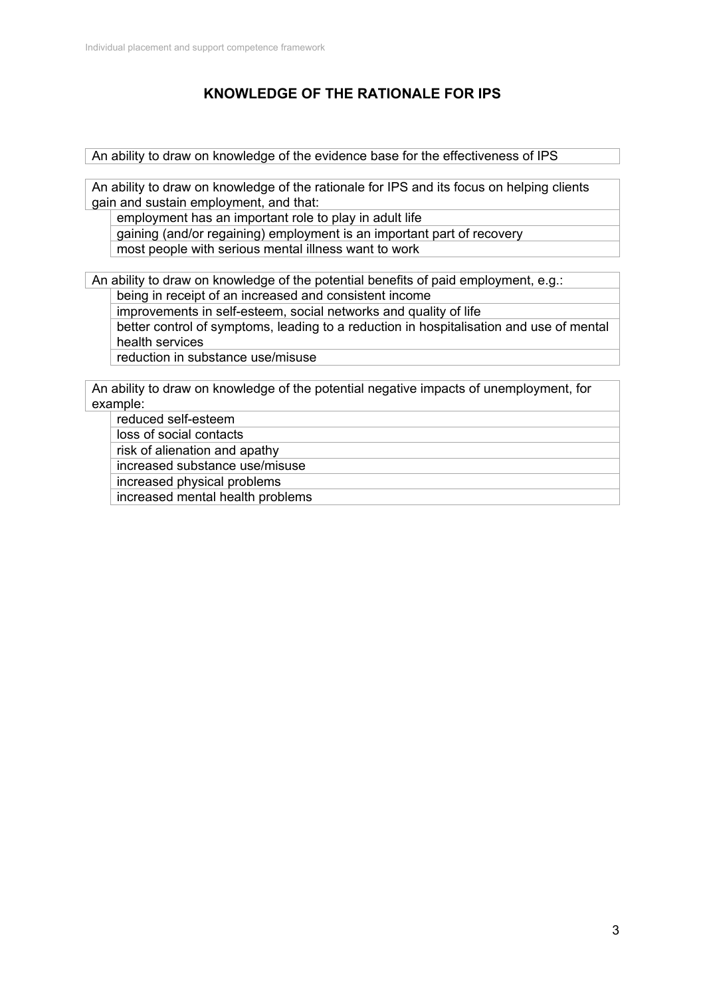# **KNOWLEDGE OF THE RATIONALE FOR IPS**

An ability to draw on knowledge of the evidence base for the effectiveness of IPS

An ability to draw on knowledge of the rationale for IPS and its focus on helping clients gain and sustain employment, and that:

employment has an important role to play in adult life

gaining (and/or regaining) employment is an important part of recovery most people with serious mental illness want to work

An ability to draw on knowledge of the potential benefits of paid employment, e.g.: being in receipt of an increased and consistent income

improvements in self-esteem, social networks and quality of life better control of symptoms, leading to a reduction in hospitalisation and use of mental health services

reduction in substance use/misuse

An ability to draw on knowledge of the potential negative impacts of unemployment, for example:

reduced self-esteem

loss of social contacts

risk of alienation and apathy

increased substance use/misuse

increased physical problems

increased mental health problems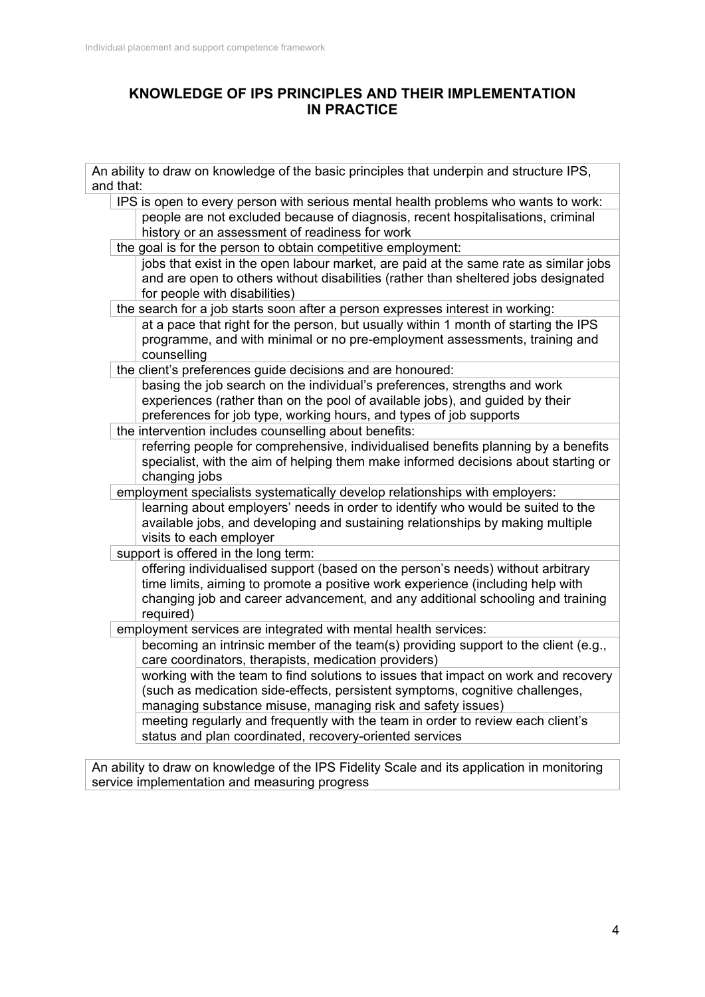## **KNOWLEDGE OF IPS PRINCIPLES AND THEIR IMPLEMENTATION IN PRACTICE**

| An ability to draw on knowledge of the basic principles that underpin and structure IPS,<br>and that:                                                                                                                                                            |  |  |  |
|------------------------------------------------------------------------------------------------------------------------------------------------------------------------------------------------------------------------------------------------------------------|--|--|--|
| IPS is open to every person with serious mental health problems who wants to work:                                                                                                                                                                               |  |  |  |
| people are not excluded because of diagnosis, recent hospitalisations, criminal<br>history or an assessment of readiness for work                                                                                                                                |  |  |  |
| the goal is for the person to obtain competitive employment:                                                                                                                                                                                                     |  |  |  |
| jobs that exist in the open labour market, are paid at the same rate as similar jobs<br>and are open to others without disabilities (rather than sheltered jobs designated<br>for people with disabilities)                                                      |  |  |  |
| the search for a job starts soon after a person expresses interest in working:                                                                                                                                                                                   |  |  |  |
| at a pace that right for the person, but usually within 1 month of starting the IPS<br>programme, and with minimal or no pre-employment assessments, training and<br>counselling                                                                                 |  |  |  |
| the client's preferences guide decisions and are honoured:                                                                                                                                                                                                       |  |  |  |
| basing the job search on the individual's preferences, strengths and work<br>experiences (rather than on the pool of available jobs), and guided by their<br>preferences for job type, working hours, and types of job supports                                  |  |  |  |
| the intervention includes counselling about benefits:                                                                                                                                                                                                            |  |  |  |
| referring people for comprehensive, individualised benefits planning by a benefits<br>specialist, with the aim of helping them make informed decisions about starting or<br>changing jobs                                                                        |  |  |  |
| employment specialists systematically develop relationships with employers:                                                                                                                                                                                      |  |  |  |
| learning about employers' needs in order to identify who would be suited to the<br>available jobs, and developing and sustaining relationships by making multiple<br>visits to each employer                                                                     |  |  |  |
| support is offered in the long term:                                                                                                                                                                                                                             |  |  |  |
| offering individualised support (based on the person's needs) without arbitrary<br>time limits, aiming to promote a positive work experience (including help with<br>changing job and career advancement, and any additional schooling and training<br>required) |  |  |  |
| employment services are integrated with mental health services:                                                                                                                                                                                                  |  |  |  |
| becoming an intrinsic member of the team(s) providing support to the client (e.g.,<br>care coordinators, therapists, medication providers)                                                                                                                       |  |  |  |
| working with the team to find solutions to issues that impact on work and recovery<br>(such as medication side-effects, persistent symptoms, cognitive challenges,<br>managing substance misuse, managing risk and safety issues)                                |  |  |  |
| meeting regularly and frequently with the team in order to review each client's<br>status and plan coordinated, recovery-oriented services                                                                                                                       |  |  |  |
|                                                                                                                                                                                                                                                                  |  |  |  |

An ability to draw on knowledge of the IPS Fidelity Scale and its application in monitoring service implementation and measuring progress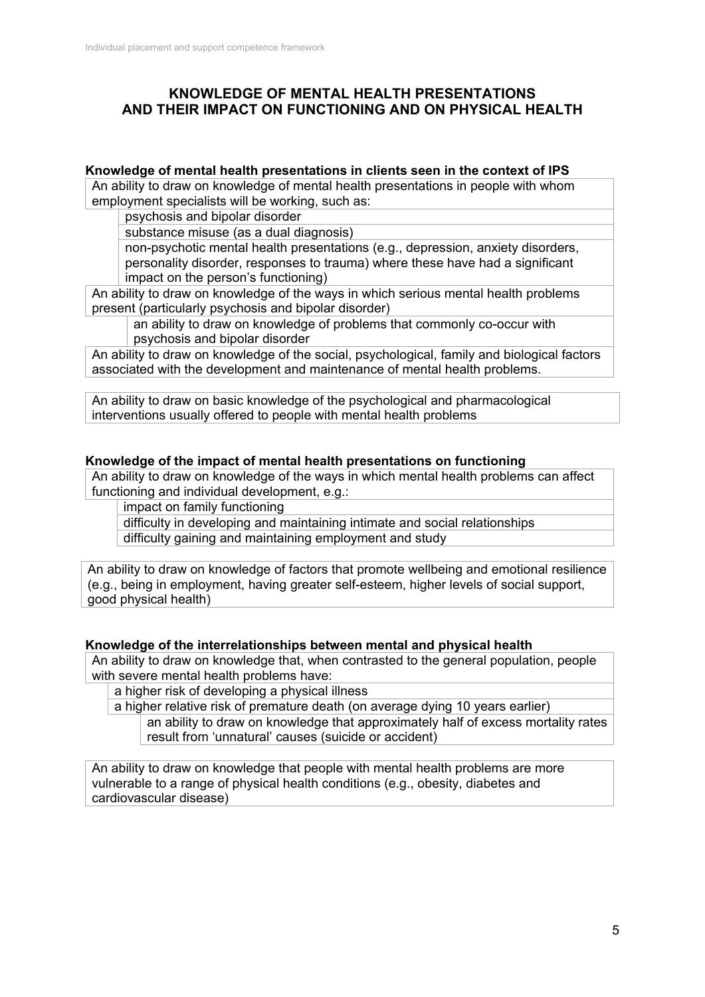## **KNOWLEDGE OF MENTAL HEALTH PRESENTATIONS AND THEIR IMPACT ON FUNCTIONING AND ON PHYSICAL HEALTH**

### **Knowledge of mental health presentations in clients seen in the context of IPS**

An ability to draw on knowledge of mental health presentations in people with whom employment specialists will be working, such as:

psychosis and bipolar disorder

substance misuse (as a dual diagnosis)

non-psychotic mental health presentations (e.g., depression, anxiety disorders, personality disorder, responses to trauma) where these have had a significant impact on the person's functioning)

An ability to draw on knowledge of the ways in which serious mental health problems present (particularly psychosis and bipolar disorder)

an ability to draw on knowledge of problems that commonly co-occur with psychosis and bipolar disorder

An ability to draw on knowledge of the social, psychological, family and biological factors associated with the development and maintenance of mental health problems.

An ability to draw on basic knowledge of the psychological and pharmacological interventions usually offered to people with mental health problems

### **Knowledge of the impact of mental health presentations on functioning**

An ability to draw on knowledge of the ways in which mental health problems can affect functioning and individual development, e.g.:

impact on family functioning

difficulty in developing and maintaining intimate and social relationships difficulty gaining and maintaining employment and study

An ability to draw on knowledge of factors that promote wellbeing and emotional resilience (e.g., being in employment, having greater self-esteem, higher levels of social support, good physical health)

### **Knowledge of the interrelationships between mental and physical health**

An ability to draw on knowledge that, when contrasted to the general population, people with severe mental health problems have:

a higher risk of developing a physical illness

a higher relative risk of premature death (on average dying 10 years earlier)

an ability to draw on knowledge that approximately half of excess mortality rates result from 'unnatural' causes (suicide or accident)

An ability to draw on knowledge that people with mental health problems are more vulnerable to a range of physical health conditions (e.g., obesity, diabetes and cardiovascular disease)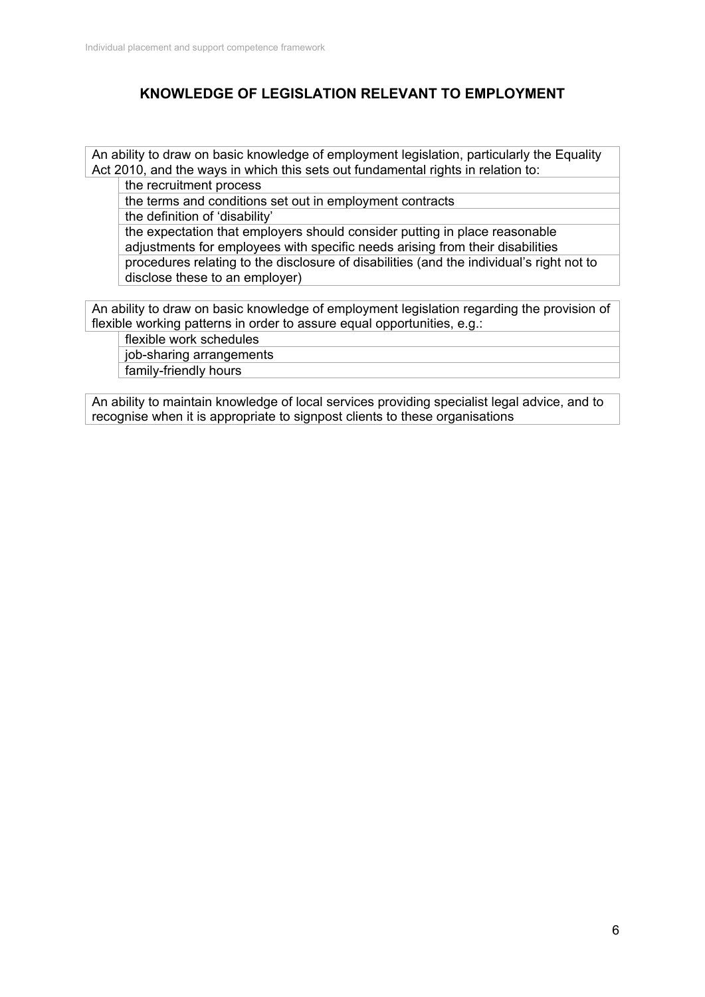## **KNOWLEDGE OF LEGISLATION RELEVANT TO EMPLOYMENT**

An ability to draw on basic knowledge of employment legislation, particularly the Equality Act 2010, and the ways in which this sets out fundamental rights in relation to:

the recruitment process

the terms and conditions set out in employment contracts

the definition of 'disability'

the expectation that employers should consider putting in place reasonable adjustments for employees with specific needs arising from their disabilities procedures relating to the disclosure of disabilities (and the individual's right not to disclose these to an employer)

An ability to draw on basic knowledge of employment legislation regarding the provision of flexible working patterns in order to assure equal opportunities, e.g.:

flexible work schedules

job-sharing arrangements family-friendly hours

An ability to maintain knowledge of local services providing specialist legal advice, and to recognise when it is appropriate to signpost clients to these organisations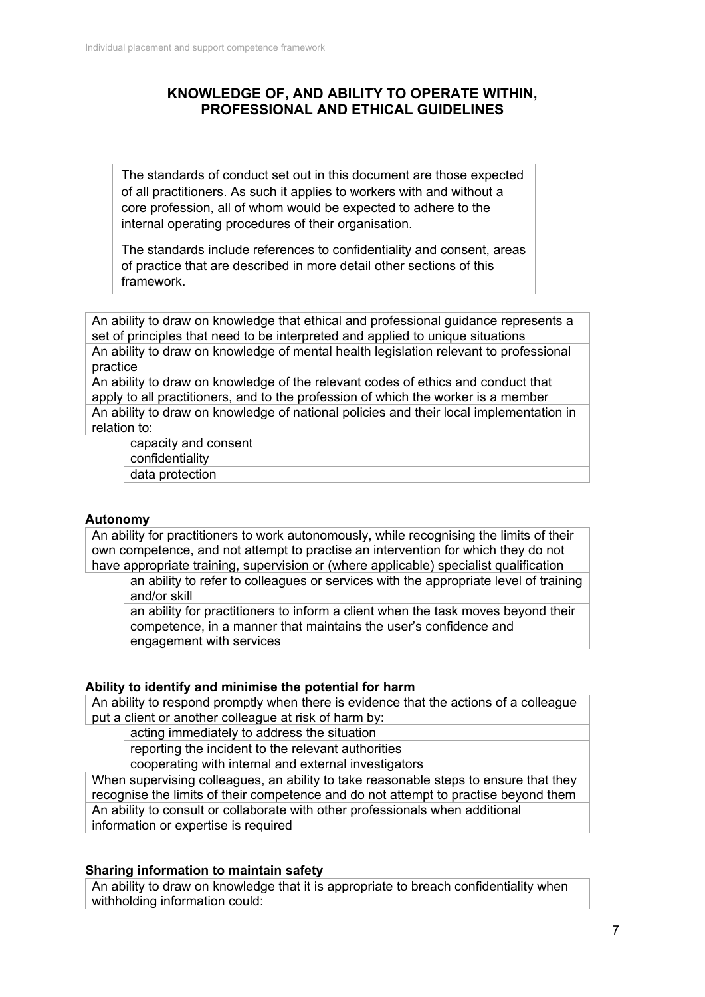## **KNOWLEDGE OF, AND ABILITY TO OPERATE WITHIN, PROFESSIONAL AND ETHICAL GUIDELINES**

The standards of conduct set out in this document are those expected of all practitioners. As such it applies to workers with and without a core profession, all of whom would be expected to adhere to the internal operating procedures of their organisation.

The standards include references to confidentiality and consent, areas of practice that are described in more detail other sections of this framework.

An ability to draw on knowledge that ethical and professional guidance represents a set of principles that need to be interpreted and applied to unique situations An ability to draw on knowledge of mental health legislation relevant to professional practice

An ability to draw on knowledge of the relevant codes of ethics and conduct that apply to all practitioners, and to the profession of which the worker is a member An ability to draw on knowledge of national policies and their local implementation in relation to:

capacity and consent confidentiality data protection

### **Autonomy**

An ability for practitioners to work autonomously, while recognising the limits of their own competence, and not attempt to practise an intervention for which they do not have appropriate training, supervision or (where applicable) specialist qualification

an ability to refer to colleagues or services with the appropriate level of training and/or skill

an ability for practitioners to inform a client when the task moves beyond their competence, in a manner that maintains the user's confidence and engagement with services

#### **Ability to identify and minimise the potential for harm**

An ability to respond promptly when there is evidence that the actions of a colleague put a client or another colleague at risk of harm by:

acting immediately to address the situation

reporting the incident to the relevant authorities

cooperating with internal and external investigators

When supervising colleagues, an ability to take reasonable steps to ensure that they recognise the limits of their competence and do not attempt to practise beyond them An ability to consult or collaborate with other professionals when additional information or expertise is required

#### **Sharing information to maintain safety**

An ability to draw on knowledge that it is appropriate to breach confidentiality when withholding information could: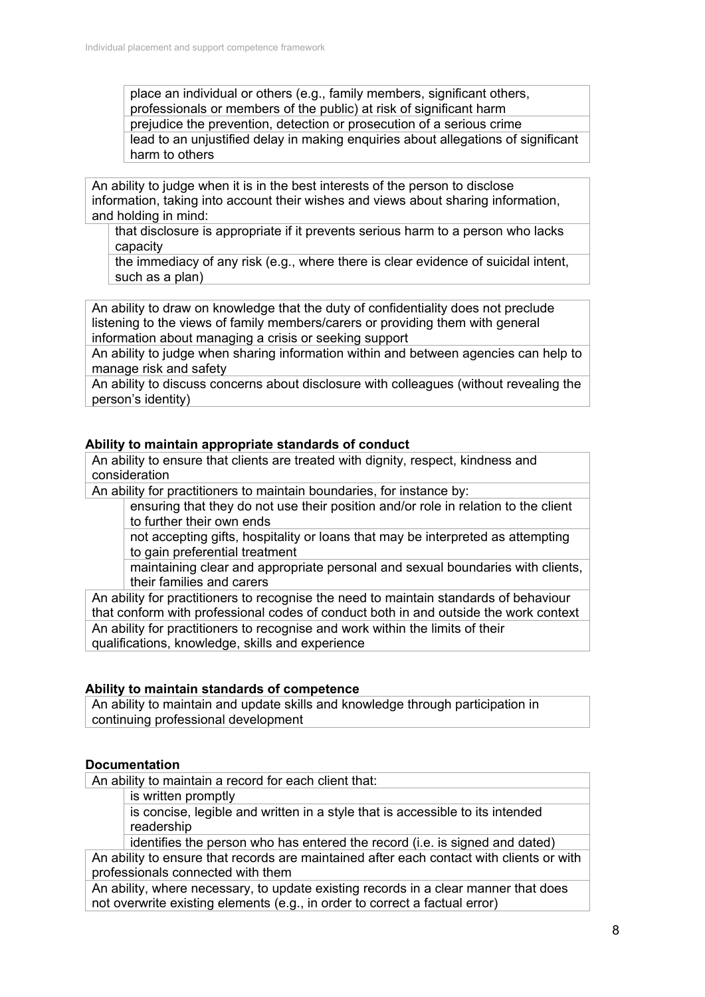place an individual or others (e.g., family members, significant others, professionals or members of the public) at risk of significant harm prejudice the prevention, detection or prosecution of a serious crime lead to an uniustified delay in making enquiries about allegations of significant harm to others

An ability to judge when it is in the best interests of the person to disclose information, taking into account their wishes and views about sharing information, and holding in mind:

that disclosure is appropriate if it prevents serious harm to a person who lacks capacity

the immediacy of any risk (e.g., where there is clear evidence of suicidal intent, such as a plan)

An ability to draw on knowledge that the duty of confidentiality does not preclude listening to the views of family members/carers or providing them with general information about managing a crisis or seeking support

An ability to judge when sharing information within and between agencies can help to manage risk and safety

An ability to discuss concerns about disclosure with colleagues (without revealing the person's identity)

### **Ability to maintain appropriate standards of conduct**

An ability to ensure that clients are treated with dignity, respect, kindness and consideration

An ability for practitioners to maintain boundaries, for instance by:

ensuring that they do not use their position and/or role in relation to the client to further their own ends

not accepting gifts, hospitality or loans that may be interpreted as attempting to gain preferential treatment

maintaining clear and appropriate personal and sexual boundaries with clients, their families and carers

An ability for practitioners to recognise the need to maintain standards of behaviour that conform with professional codes of conduct both in and outside the work context An ability for practitioners to recognise and work within the limits of their qualifications, knowledge, skills and experience

### **Ability to maintain standards of competence**

An ability to maintain and update skills and knowledge through participation in continuing professional development

### **Documentation**

An ability to maintain a record for each client that:

is written promptly

is concise, legible and written in a style that is accessible to its intended readership

identifies the person who has entered the record (i.e. is signed and dated) An ability to ensure that records are maintained after each contact with clients or with professionals connected with them

An ability, where necessary, to update existing records in a clear manner that does not overwrite existing elements (e.g., in order to correct a factual error)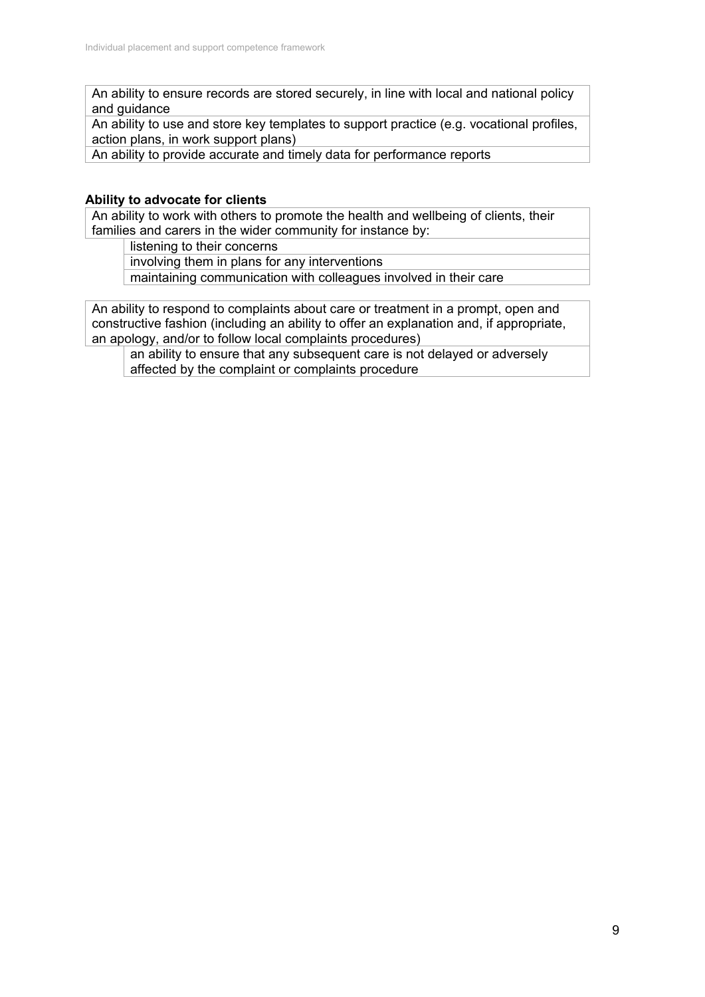An ability to ensure records are stored securely, in line with local and national policy and guidance

An ability to use and store key templates to support practice (e.g. vocational profiles, action plans, in work support plans)

An ability to provide accurate and timely data for performance reports

### **Ability to advocate for clients**

An ability to work with others to promote the health and wellbeing of clients, their families and carers in the wider community for instance by:

listening to their concerns

involving them in plans for any interventions

maintaining communication with colleagues involved in their care

An ability to respond to complaints about care or treatment in a prompt, open and constructive fashion (including an ability to offer an explanation and, if appropriate, an apology, and/or to follow local complaints procedures)

an ability to ensure that any subsequent care is not delayed or adversely affected by the complaint or complaints procedure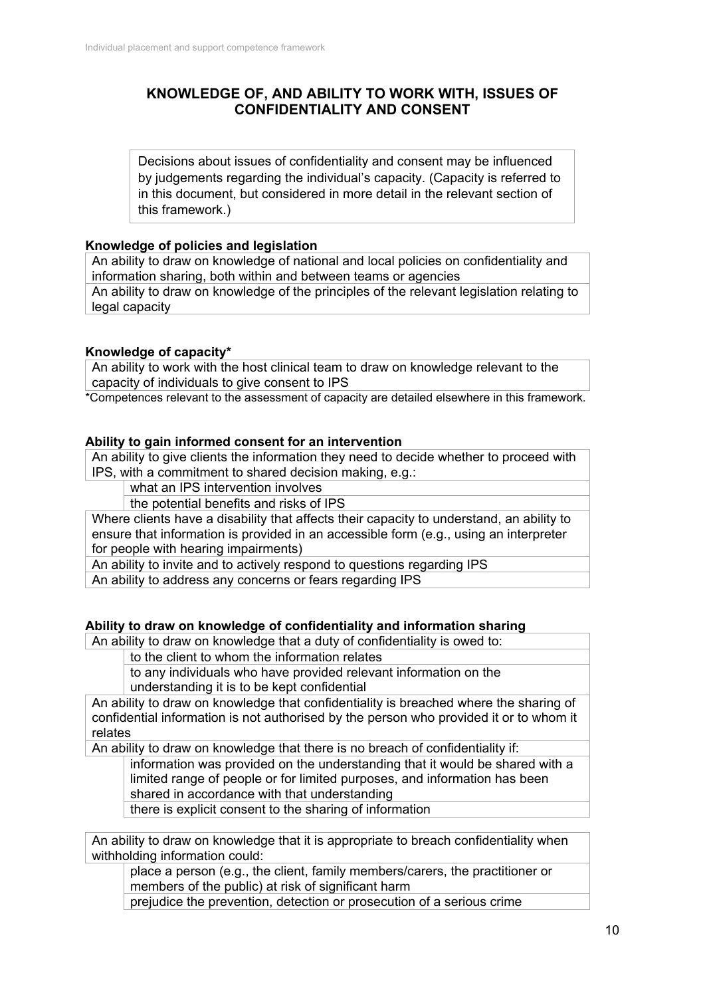## **KNOWLEDGE OF, AND ABILITY TO WORK WITH, ISSUES OF CONFIDENTIALITY AND CONSENT**

Decisions about issues of confidentiality and consent may be influenced by judgements regarding the individual's capacity. (Capacity is referred to in this document, but considered in more detail in the relevant section of this framework.)

### **Knowledge of policies and legislation**

An ability to draw on knowledge of national and local policies on confidentiality and information sharing, both within and between teams or agencies

An ability to draw on knowledge of the principles of the relevant legislation relating to legal capacity

#### **Knowledge of capacity\***

An ability to work with the host clinical team to draw on knowledge relevant to the capacity of individuals to give consent to IPS

\*Competences relevant to the assessment of capacity are detailed elsewhere in this framework.

#### **Ability to gain informed consent for an intervention**

An ability to give clients the information they need to decide whether to proceed with IPS, with a commitment to shared decision making, e.g.:

what an IPS intervention involves

the potential benefits and risks of IPS

Where clients have a disability that affects their capacity to understand, an ability to ensure that information is provided in an accessible form (e.g., using an interpreter for people with hearing impairments)

An ability to invite and to actively respond to questions regarding IPS

An ability to address any concerns or fears regarding IPS

#### **Ability to draw on knowledge of confidentiality and information sharing**

An ability to draw on knowledge that a duty of confidentiality is owed to:

to the client to whom the information relates

to any individuals who have provided relevant information on the understanding it is to be kept confidential

An ability to draw on knowledge that confidentiality is breached where the sharing of confidential information is not authorised by the person who provided it or to whom it relates

An ability to draw on knowledge that there is no breach of confidentiality if:

information was provided on the understanding that it would be shared with a limited range of people or for limited purposes, and information has been shared in accordance with that understanding

there is explicit consent to the sharing of information

An ability to draw on knowledge that it is appropriate to breach confidentiality when withholding information could:

place a person (e.g., the client, family members/carers, the practitioner or members of the public) at risk of significant harm

prejudice the prevention, detection or prosecution of a serious crime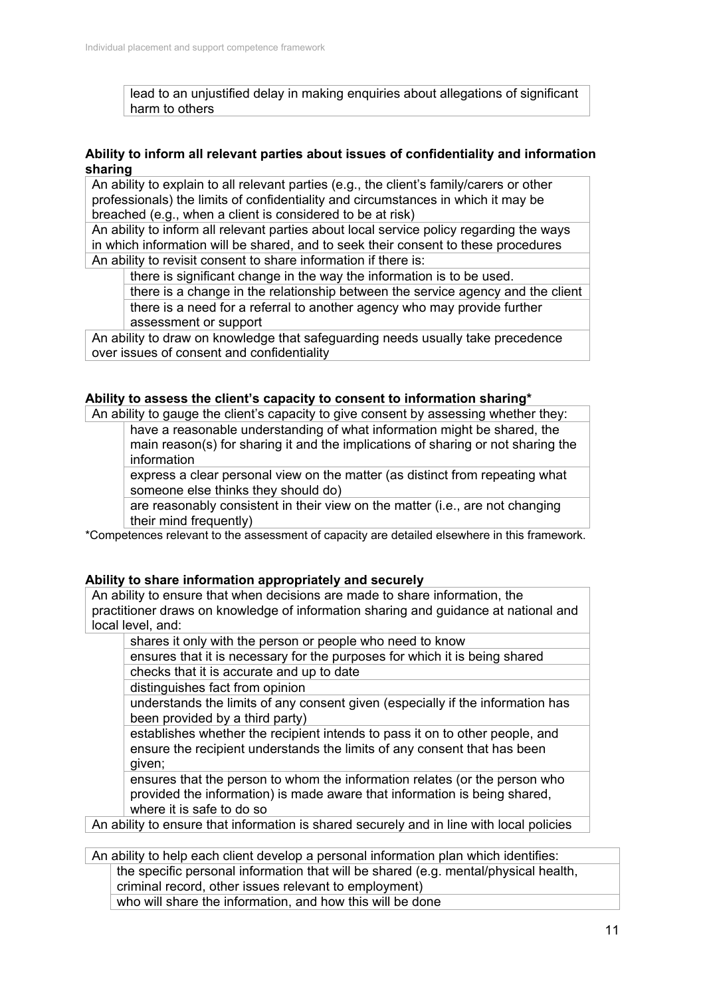lead to an unjustified delay in making enquiries about allegations of significant harm to others

### **Ability to inform all relevant parties about issues of confidentiality and information sharing**

An ability to explain to all relevant parties (e.g., the client's family/carers or other professionals) the limits of confidentiality and circumstances in which it may be breached (e.g., when a client is considered to be at risk)

An ability to inform all relevant parties about local service policy regarding the ways in which information will be shared, and to seek their consent to these procedures An ability to revisit consent to share information if there is:

there is significant change in the way the information is to be used.

there is a change in the relationship between the service agency and the client there is a need for a referral to another agency who may provide further assessment or support

An ability to draw on knowledge that safeguarding needs usually take precedence over issues of consent and confidentiality

### **Ability to assess the client's capacity to consent to information sharing\***

An ability to gauge the client's capacity to give consent by assessing whether they:

have a reasonable understanding of what information might be shared, the main reason(s) for sharing it and the implications of sharing or not sharing the information

express a clear personal view on the matter (as distinct from repeating what someone else thinks they should do)

are reasonably consistent in their view on the matter (i.e., are not changing their mind frequently)

\*Competences relevant to the assessment of capacity are detailed elsewhere in this framework.

### **Ability to share information appropriately and securely**

An ability to ensure that when decisions are made to share information, the practitioner draws on knowledge of information sharing and guidance at national and local level, and:

shares it only with the person or people who need to know

ensures that it is necessary for the purposes for which it is being shared checks that it is accurate and up to date

distinguishes fact from opinion

understands the limits of any consent given (especially if the information has been provided by a third party)

establishes whether the recipient intends to pass it on to other people, and ensure the recipient understands the limits of any consent that has been given;

ensures that the person to whom the information relates (or the person who provided the information) is made aware that information is being shared, where it is safe to do so

An ability to ensure that information is shared securely and in line with local policies

An ability to help each client develop a personal information plan which identifies: the specific personal information that will be shared (e.g. mental/physical health, criminal record, other issues relevant to employment) who will share the information, and how this will be done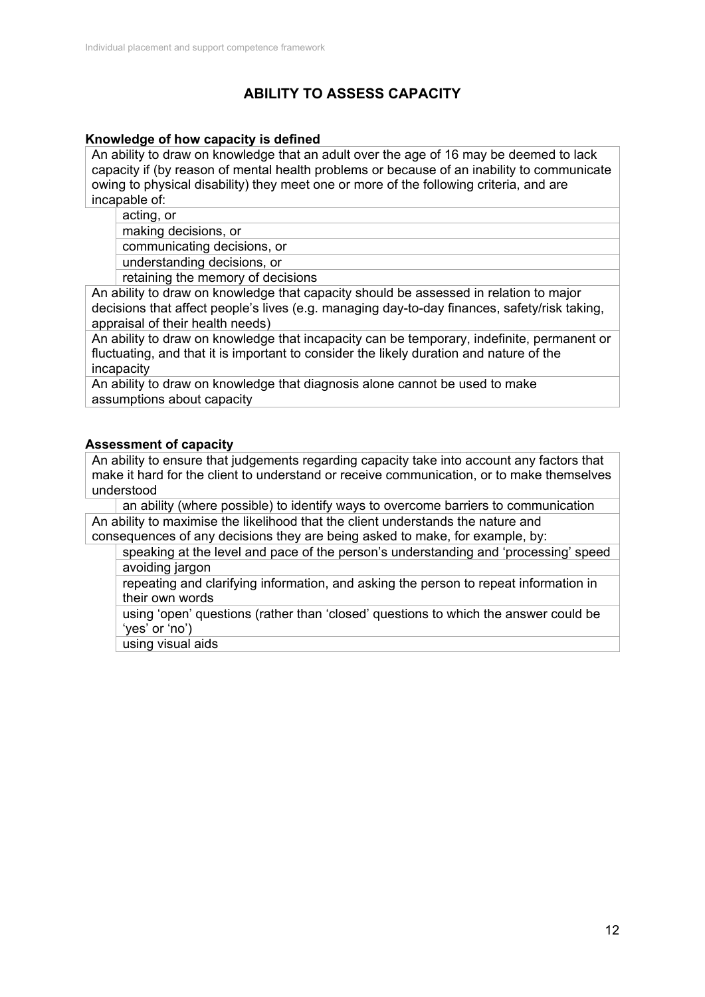# **ABILITY TO ASSESS CAPACITY**

### **Knowledge of how capacity is defined**

An ability to draw on knowledge that an adult over the age of 16 may be deemed to lack capacity if (by reason of mental health problems or because of an inability to communicate owing to physical disability) they meet one or more of the following criteria, and are incapable of:

acting, or

making decisions, or

communicating decisions, or

understanding decisions, or

retaining the memory of decisions

An ability to draw on knowledge that capacity should be assessed in relation to major decisions that affect people's lives (e.g. managing day-to-day finances, safety/risk taking, appraisal of their health needs)

An ability to draw on knowledge that incapacity can be temporary, indefinite, permanent or fluctuating, and that it is important to consider the likely duration and nature of the incapacity

An ability to draw on knowledge that diagnosis alone cannot be used to make assumptions about capacity

### **Assessment of capacity**

An ability to ensure that judgements regarding capacity take into account any factors that make it hard for the client to understand or receive communication, or to make themselves understood

an ability (where possible) to identify ways to overcome barriers to communication An ability to maximise the likelihood that the client understands the nature and consequences of any decisions they are being asked to make, for example, by:

speaking at the level and pace of the person's understanding and 'processing' speed avoiding jargon

repeating and clarifying information, and asking the person to repeat information in their own words

using 'open' questions (rather than 'closed' questions to which the answer could be 'yes' or 'no')

using visual aids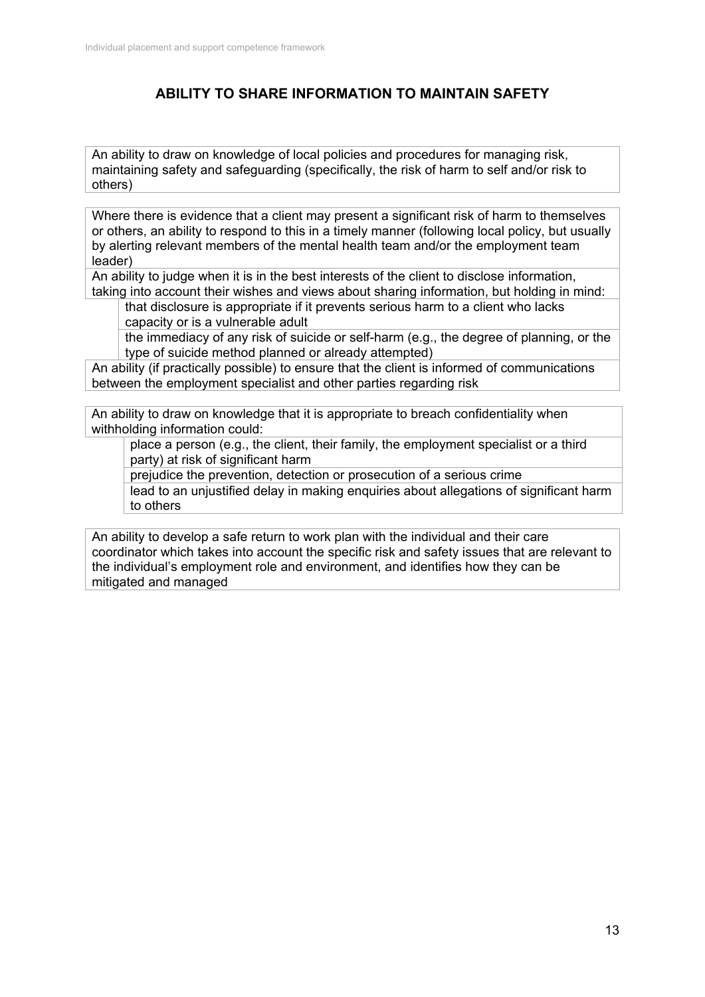# **ABILITY TO SHARE INFORMATION TO MAINTAIN SAFETY**

An ability to draw on knowledge of local policies and procedures for managing risk, maintaining safety and safeguarding (specifically, the risk of harm to self and/or risk to others)

Where there is evidence that a client may present a significant risk of harm to themselves or others, an ability to respond to this in a timely manner (following local policy, but usually by alerting relevant members of the mental health team and/or the employment team leader)

An ability to judge when it is in the best interests of the client to disclose information, taking into account their wishes and views about sharing information, but holding in mind:

that disclosure is appropriate if it prevents serious harm to a client who lacks capacity or is a vulnerable adult

the immediacy of any risk of suicide or self-harm (e.g., the degree of planning, or the type of suicide method planned or already attempted)

An ability (if practically possible) to ensure that the client is informed of communications between the employment specialist and other parties regarding risk

An ability to draw on knowledge that it is appropriate to breach confidentiality when withholding information could:

place a person (e.g., the client, their family, the employment specialist or a third party) at risk of significant harm

prejudice the prevention, detection or prosecution of a serious crime

lead to an unjustified delay in making enquiries about allegations of significant harm to others

An ability to develop a safe return to work plan with the individual and their care coordinator which takes into account the specific risk and safety issues that are relevant to the individual's employment role and environment, and identifies how they can be mitigated and managed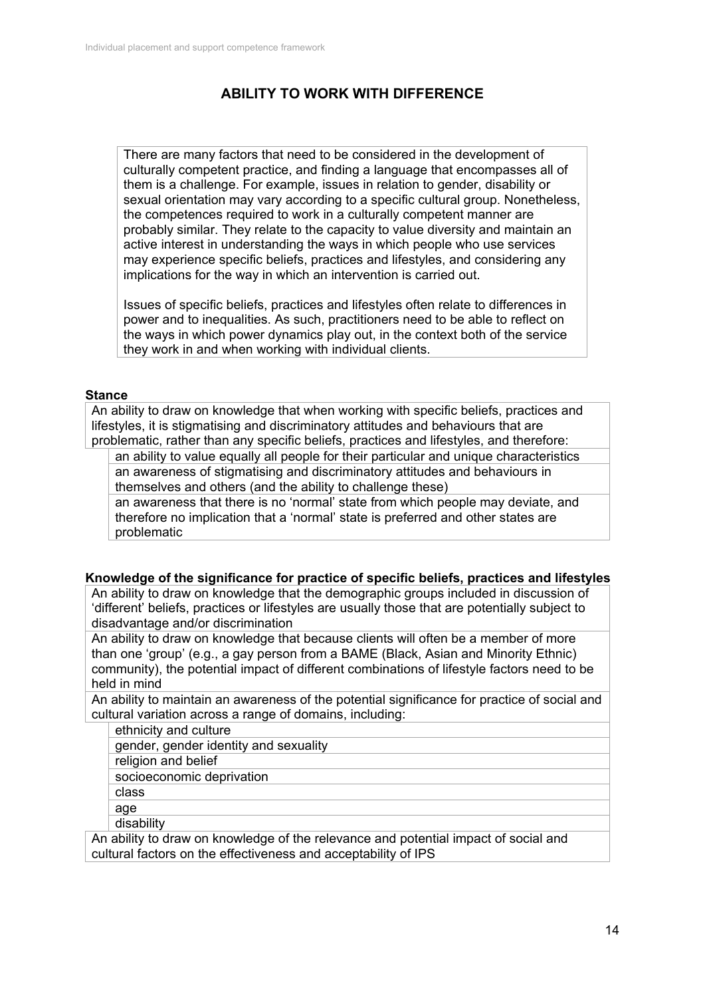# **ABILITY TO WORK WITH DIFFERENCE**

There are many factors that need to be considered in the development of culturally competent practice, and finding a language that encompasses all of them is a challenge. For example, issues in relation to gender, disability or sexual orientation may vary according to a specific cultural group. Nonetheless, the competences required to work in a culturally competent manner are probably similar. They relate to the capacity to value diversity and maintain an active interest in understanding the ways in which people who use services may experience specific beliefs, practices and lifestyles, and considering any implications for the way in which an intervention is carried out.

Issues of specific beliefs, practices and lifestyles often relate to differences in power and to inequalities. As such, practitioners need to be able to reflect on the ways in which power dynamics play out, in the context both of the service they work in and when working with individual clients.

#### **Stance**

An ability to draw on knowledge that when working with specific beliefs, practices and lifestyles, it is stigmatising and discriminatory attitudes and behaviours that are problematic, rather than any specific beliefs, practices and lifestyles, and therefore:

an ability to value equally all people for their particular and unique characteristics an awareness of stigmatising and discriminatory attitudes and behaviours in themselves and others (and the ability to challenge these)

an awareness that there is no 'normal' state from which people may deviate, and therefore no implication that a 'normal' state is preferred and other states are problematic

#### **Knowledge of the significance for practice of specific beliefs, practices and lifestyles**

An ability to draw on knowledge that the demographic groups included in discussion of 'different' beliefs, practices or lifestyles are usually those that are potentially subject to disadvantage and/or discrimination

An ability to draw on knowledge that because clients will often be a member of more than one 'group' (e.g., a gay person from a BAME (Black, Asian and Minority Ethnic) community), the potential impact of different combinations of lifestyle factors need to be held in mind

An ability to maintain an awareness of the potential significance for practice of social and cultural variation across a range of domains, including:

ethnicity and culture

gender, gender identity and sexuality

religion and belief

socioeconomic deprivation

class

age

disability

An ability to draw on knowledge of the relevance and potential impact of social and cultural factors on the effectiveness and acceptability of IPS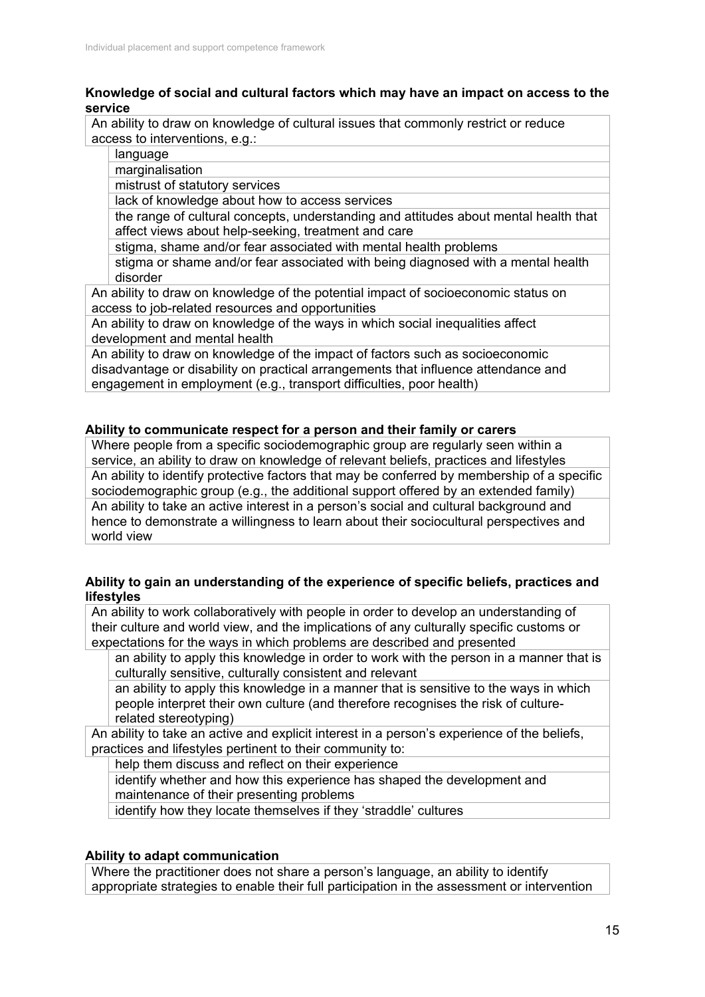### **Knowledge of social and cultural factors which may have an impact on access to the service**

An ability to draw on knowledge of cultural issues that commonly restrict or reduce access to interventions, e.g.:

language

marginalisation

mistrust of statutory services

lack of knowledge about how to access services

the range of cultural concepts, understanding and attitudes about mental health that affect views about help-seeking, treatment and care

stigma, shame and/or fear associated with mental health problems

stigma or shame and/or fear associated with being diagnosed with a mental health disorder

An ability to draw on knowledge of the potential impact of socioeconomic status on access to job-related resources and opportunities

An ability to draw on knowledge of the ways in which social inequalities affect development and mental health

An ability to draw on knowledge of the impact of factors such as socioeconomic disadvantage or disability on practical arrangements that influence attendance and engagement in employment (e.g., transport difficulties, poor health)

### **Ability to communicate respect for a person and their family or carers**

Where people from a specific sociodemographic group are regularly seen within a service, an ability to draw on knowledge of relevant beliefs, practices and lifestyles An ability to identify protective factors that may be conferred by membership of a specific sociodemographic group (e.g., the additional support offered by an extended family) An ability to take an active interest in a person's social and cultural background and hence to demonstrate a willingness to learn about their sociocultural perspectives and world view

#### **Ability to gain an understanding of the experience of specific beliefs, practices and lifestyles**

An ability to work collaboratively with people in order to develop an understanding of their culture and world view, and the implications of any culturally specific customs or expectations for the ways in which problems are described and presented

an ability to apply this knowledge in order to work with the person in a manner that is culturally sensitive, culturally consistent and relevant

an ability to apply this knowledge in a manner that is sensitive to the ways in which people interpret their own culture (and therefore recognises the risk of culturerelated stereotyping)

An ability to take an active and explicit interest in a person's experience of the beliefs, practices and lifestyles pertinent to their community to:

help them discuss and reflect on their experience

identify whether and how this experience has shaped the development and maintenance of their presenting problems

identify how they locate themselves if they 'straddle' cultures

### **Ability to adapt communication**

Where the practitioner does not share a person's language, an ability to identify appropriate strategies to enable their full participation in the assessment or intervention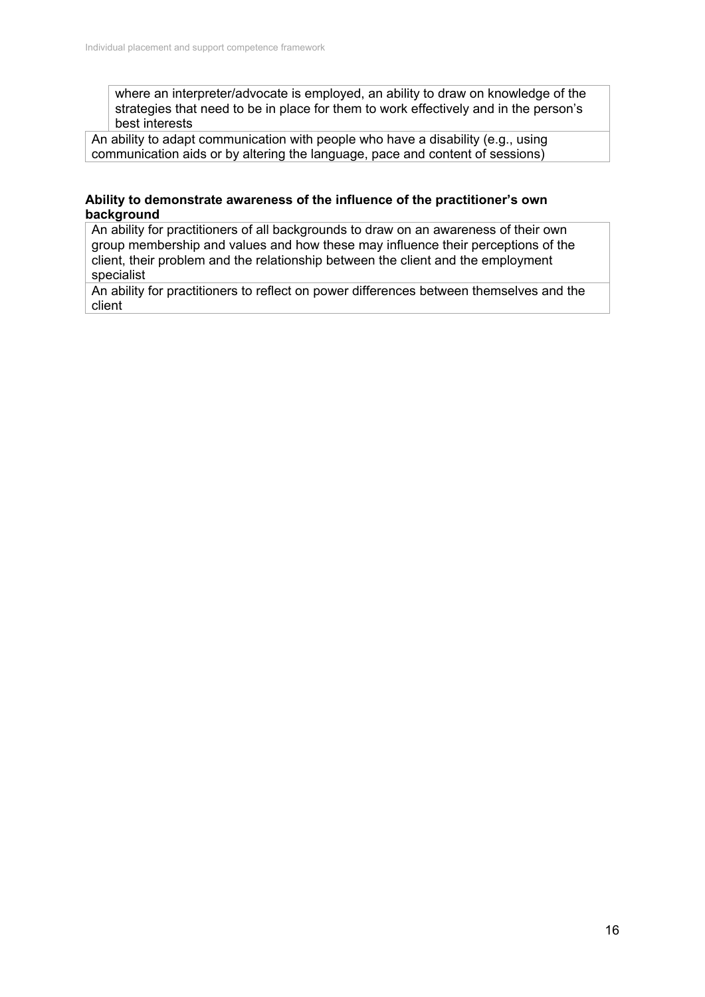where an interpreter/advocate is employed, an ability to draw on knowledge of the strategies that need to be in place for them to work effectively and in the person's best interests

An ability to adapt communication with people who have a disability (e.g., using communication aids or by altering the language, pace and content of sessions)

### **Ability to demonstrate awareness of the influence of the practitioner's own background**

An ability for practitioners of all backgrounds to draw on an awareness of their own group membership and values and how these may influence their perceptions of the client, their problem and the relationship between the client and the employment specialist

An ability for practitioners to reflect on power differences between themselves and the client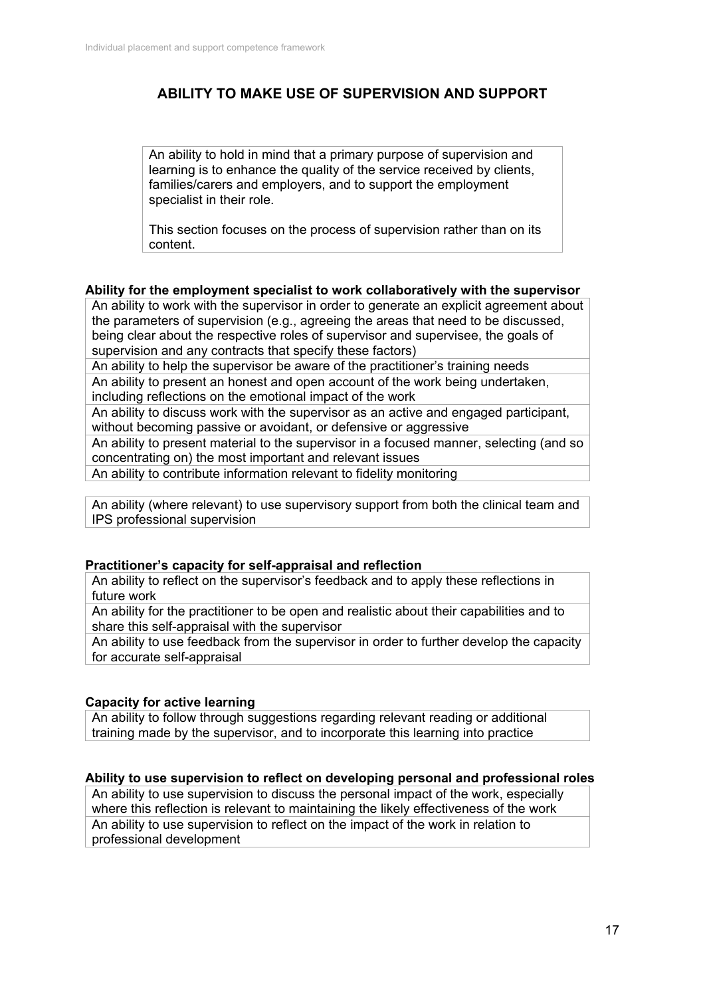# **ABILITY TO MAKE USE OF SUPERVISION AND SUPPORT**

An ability to hold in mind that a primary purpose of supervision and learning is to enhance the quality of the service received by clients, families/carers and employers, and to support the employment specialist in their role.

This section focuses on the process of supervision rather than on its content.

#### **Ability for the employment specialist to work collaboratively with the supervisor**

An ability to work with the supervisor in order to generate an explicit agreement about the parameters of supervision (e.g., agreeing the areas that need to be discussed, being clear about the respective roles of supervisor and supervisee, the goals of supervision and any contracts that specify these factors)

An ability to help the supervisor be aware of the practitioner's training needs

An ability to present an honest and open account of the work being undertaken, including reflections on the emotional impact of the work

An ability to discuss work with the supervisor as an active and engaged participant, without becoming passive or avoidant, or defensive or aggressive

An ability to present material to the supervisor in a focused manner, selecting (and so concentrating on) the most important and relevant issues

An ability to contribute information relevant to fidelity monitoring

An ability (where relevant) to use supervisory support from both the clinical team and IPS professional supervision

#### **Practitioner's capacity for self-appraisal and reflection**

An ability to reflect on the supervisor's feedback and to apply these reflections in future work

An ability for the practitioner to be open and realistic about their capabilities and to share this self-appraisal with the supervisor

An ability to use feedback from the supervisor in order to further develop the capacity for accurate self-appraisal

### **Capacity for active learning**

An ability to follow through suggestions regarding relevant reading or additional training made by the supervisor, and to incorporate this learning into practice

#### **Ability to use supervision to reflect on developing personal and professional roles**

An ability to use supervision to discuss the personal impact of the work, especially where this reflection is relevant to maintaining the likely effectiveness of the work An ability to use supervision to reflect on the impact of the work in relation to professional development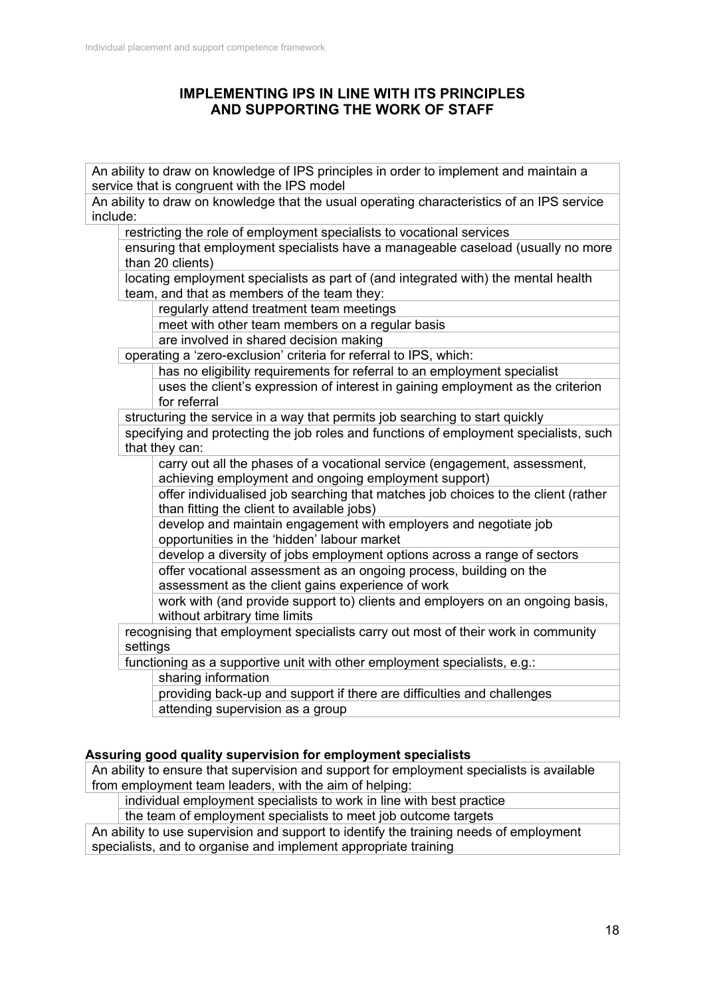## **IMPLEMENTING IPS IN LINE WITH ITS PRINCIPLES AND SUPPORTING THE WORK OF STAFF**

An ability to draw on knowledge of IPS principles in order to implement and maintain a service that is congruent with the IPS model An ability to draw on knowledge that the usual operating characteristics of an IPS service include: restricting the role of employment specialists to vocational services ensuring that employment specialists have a manageable caseload (usually no more than 20 clients) locating employment specialists as part of (and integrated with) the mental health team, and that as members of the team they: regularly attend treatment team meetings meet with other team members on a regular basis are involved in shared decision making operating a 'zero-exclusion' criteria for referral to IPS, which: has no eligibility requirements for referral to an employment specialist uses the client's expression of interest in gaining employment as the criterion for referral structuring the service in a way that permits job searching to start quickly specifying and protecting the job roles and functions of employment specialists, such that they can: carry out all the phases of a vocational service (engagement, assessment, achieving employment and ongoing employment support) offer individualised job searching that matches job choices to the client (rather than fitting the client to available jobs) develop and maintain engagement with employers and negotiate job opportunities in the 'hidden' labour market develop a diversity of jobs employment options across a range of sectors offer vocational assessment as an ongoing process, building on the assessment as the client gains experience of work work with (and provide support to) clients and employers on an ongoing basis, without arbitrary time limits recognising that employment specialists carry out most of their work in community settings functioning as a supportive unit with other employment specialists, e.g.: sharing information providing back-up and support if there are difficulties and challenges attending supervision as a group

## **Assuring good quality supervision for employment specialists**

An ability to ensure that supervision and support for employment specialists is available from employment team leaders, with the aim of helping:

individual employment specialists to work in line with best practice

the team of employment specialists to meet job outcome targets

An ability to use supervision and support to identify the training needs of employment specialists, and to organise and implement appropriate training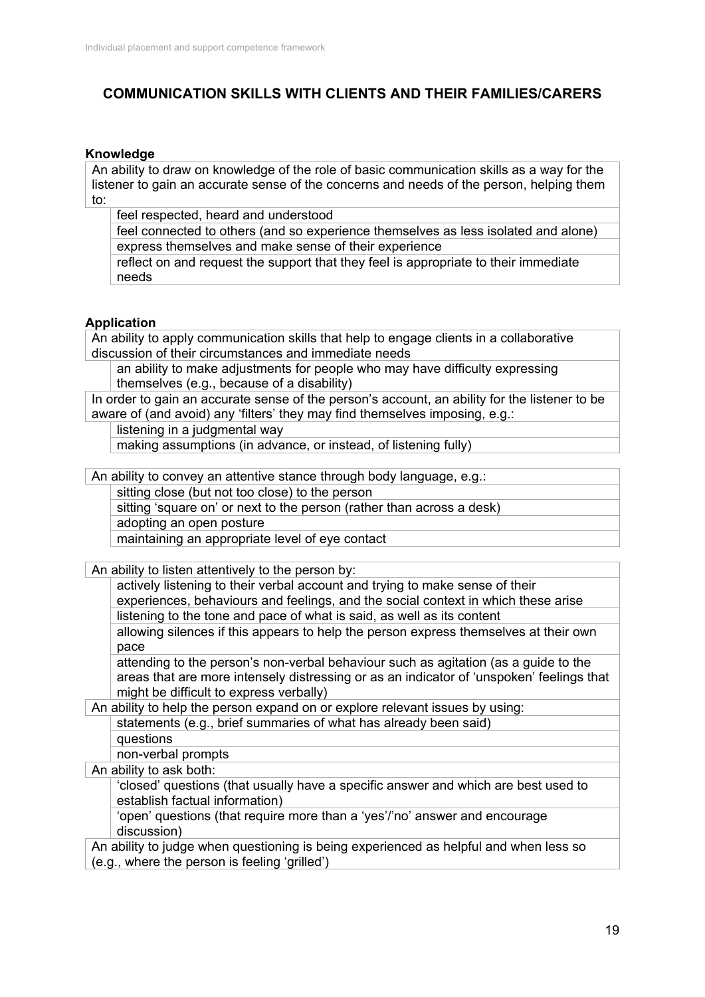# **COMMUNICATION SKILLS WITH CLIENTS AND THEIR FAMILIES/CARERS**

#### **Knowledge**

An ability to draw on knowledge of the role of basic communication skills as a way for the listener to gain an accurate sense of the concerns and needs of the person, helping them to:

feel respected, heard and understood

feel connected to others (and so experience themselves as less isolated and alone) express themselves and make sense of their experience

reflect on and request the support that they feel is appropriate to their immediate needs

#### **Application**

An ability to apply communication skills that help to engage clients in a collaborative discussion of their circumstances and immediate needs

an ability to make adjustments for people who may have difficulty expressing themselves (e.g., because of a disability)

In order to gain an accurate sense of the person's account, an ability for the listener to be aware of (and avoid) any 'filters' they may find themselves imposing, e.g.:

listening in a judgmental way

making assumptions (in advance, or instead, of listening fully)

An ability to convey an attentive stance through body language, e.g.:

sitting close (but not too close) to the person

sitting 'square on' or next to the person (rather than across a desk) adopting an open posture

maintaining an appropriate level of eye contact

An ability to listen attentively to the person by:

actively listening to their verbal account and trying to make sense of their experiences, behaviours and feelings, and the social context in which these arise listening to the tone and pace of what is said, as well as its content

allowing silences if this appears to help the person express themselves at their own pace

attending to the person's non-verbal behaviour such as agitation (as a guide to the areas that are more intensely distressing or as an indicator of 'unspoken' feelings that might be difficult to express verbally)

An ability to help the person expand on or explore relevant issues by using: statements (e.g., brief summaries of what has already been said) questions

non-verbal prompts

An ability to ask both:

'closed' questions (that usually have a specific answer and which are best used to establish factual information)

'open' questions (that require more than a 'yes'/'no' answer and encourage discussion)

An ability to judge when questioning is being experienced as helpful and when less so (e.g., where the person is feeling 'grilled')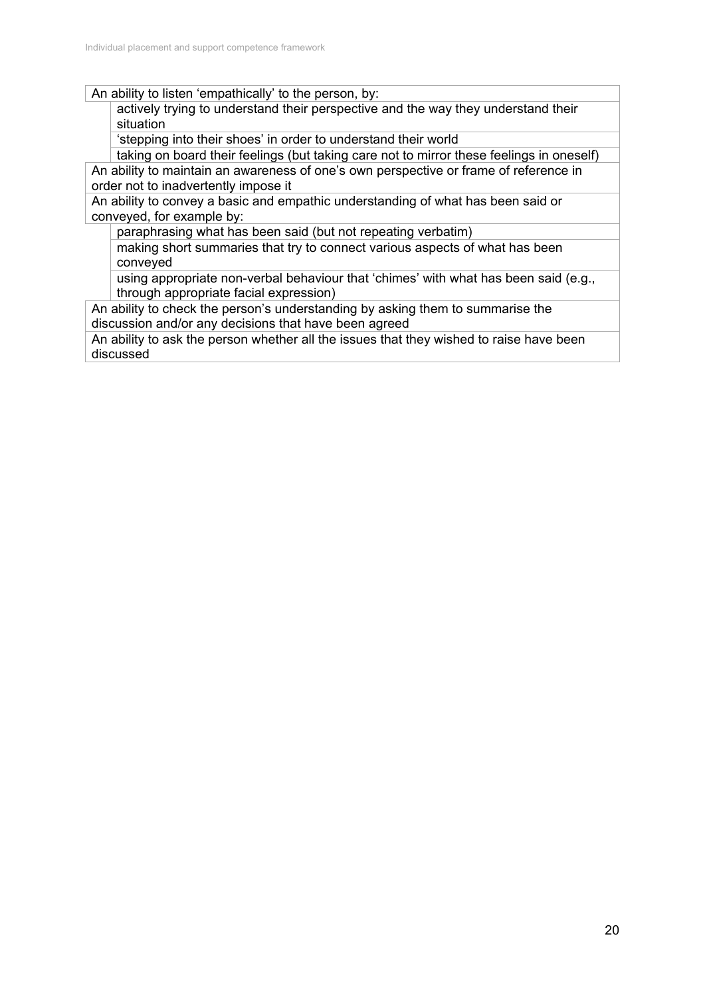An ability to listen 'empathically' to the person, by:

actively trying to understand their perspective and the way they understand their situation

'stepping into their shoes' in order to understand their world

taking on board their feelings (but taking care not to mirror these feelings in oneself)

An ability to maintain an awareness of one's own perspective or frame of reference in order not to inadvertently impose it

An ability to convey a basic and empathic understanding of what has been said or conveyed, for example by:

paraphrasing what has been said (but not repeating verbatim)

making short summaries that try to connect various aspects of what has been conveyed

using appropriate non-verbal behaviour that 'chimes' with what has been said (e.g., through appropriate facial expression)

An ability to check the person's understanding by asking them to summarise the discussion and/or any decisions that have been agreed

An ability to ask the person whether all the issues that they wished to raise have been discussed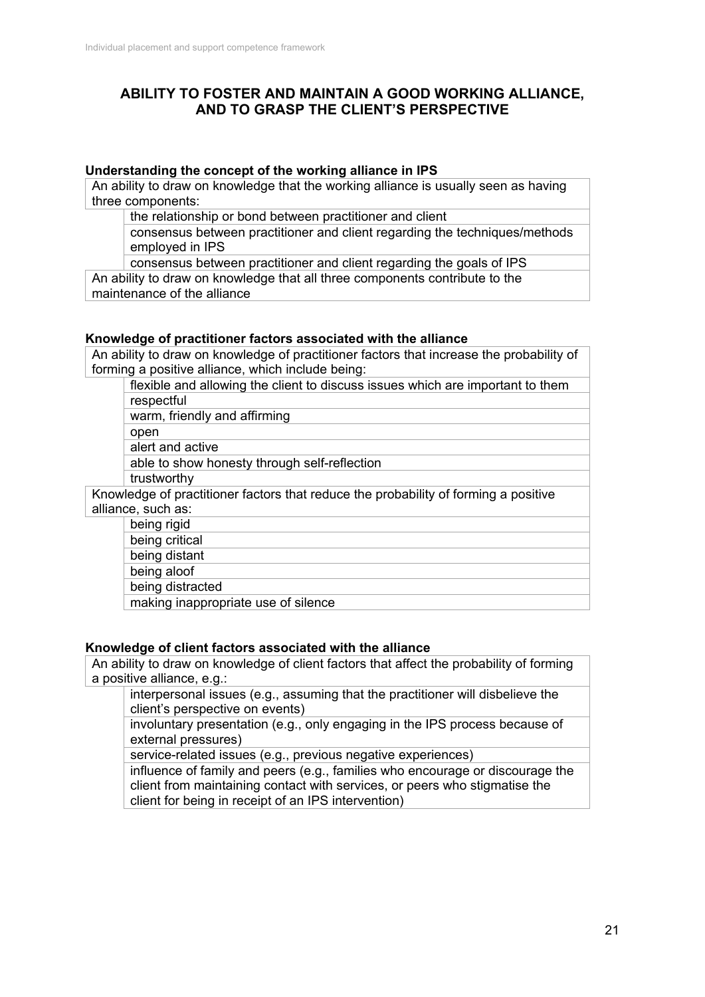## **ABILITY TO FOSTER AND MAINTAIN A GOOD WORKING ALLIANCE, AND TO GRASP THE CLIENT'S PERSPECTIVE**

#### **Understanding the concept of the working alliance in IPS**

An ability to draw on knowledge that the working alliance is usually seen as having three components:

the relationship or bond between practitioner and client

consensus between practitioner and client regarding the techniques/methods employed in IPS

consensus between practitioner and client regarding the goals of IPS

An ability to draw on knowledge that all three components contribute to the maintenance of the alliance

#### **Knowledge of practitioner factors associated with the alliance**

An ability to draw on knowledge of practitioner factors that increase the probability of forming a positive alliance, which include being:

flexible and allowing the client to discuss issues which are important to them respectful warm, friendly and affirming open alert and active

able to show honesty through self-reflection trustworthy

Knowledge of practitioner factors that reduce the probability of forming a positive alliance, such as:

being rigid being critical being distant being aloof being distracted

making inappropriate use of silence

### **Knowledge of client factors associated with the alliance**

An ability to draw on knowledge of client factors that affect the probability of forming a positive alliance, e.g.:

interpersonal issues (e.g., assuming that the practitioner will disbelieve the client's perspective on events)

involuntary presentation (e.g., only engaging in the IPS process because of external pressures)

service-related issues (e.g., previous negative experiences)

influence of family and peers (e.g., families who encourage or discourage the client from maintaining contact with services, or peers who stigmatise the client for being in receipt of an IPS intervention)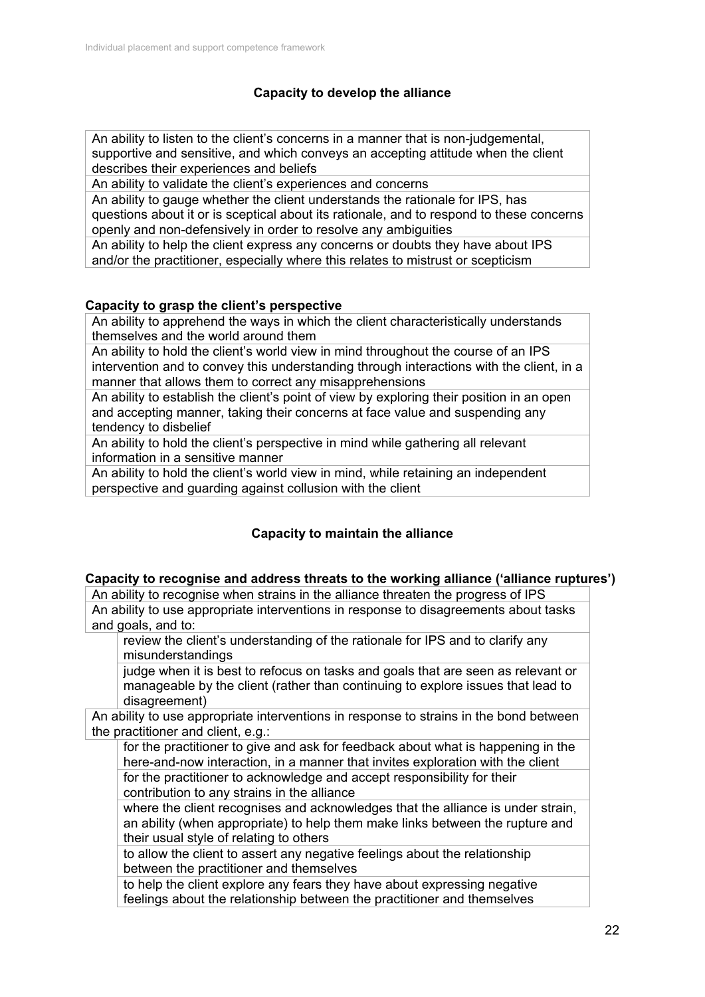## **Capacity to develop the alliance**

An ability to listen to the client's concerns in a manner that is non-judgemental, supportive and sensitive, and which conveys an accepting attitude when the client describes their experiences and beliefs

An ability to validate the client's experiences and concerns

An ability to gauge whether the client understands the rationale for IPS, has questions about it or is sceptical about its rationale, and to respond to these concerns openly and non-defensively in order to resolve any ambiguities

An ability to help the client express any concerns or doubts they have about IPS

and/or the practitioner, especially where this relates to mistrust or scepticism

### **Capacity to grasp the client's perspective**

An ability to apprehend the ways in which the client characteristically understands themselves and the world around them

An ability to hold the client's world view in mind throughout the course of an IPS intervention and to convey this understanding through interactions with the client, in a manner that allows them to correct any misapprehensions

An ability to establish the client's point of view by exploring their position in an open and accepting manner, taking their concerns at face value and suspending any tendency to disbelief

An ability to hold the client's perspective in mind while gathering all relevant information in a sensitive manner

An ability to hold the client's world view in mind, while retaining an independent perspective and guarding against collusion with the client

## **Capacity to maintain the alliance**

### **Capacity to recognise and address threats to the working alliance ('alliance ruptures')**

An ability to recognise when strains in the alliance threaten the progress of IPS An ability to use appropriate interventions in response to disagreements about tasks and goals, and to:

review the client's understanding of the rationale for IPS and to clarify any misunderstandings

judge when it is best to refocus on tasks and goals that are seen as relevant or manageable by the client (rather than continuing to explore issues that lead to disagreement)

An ability to use appropriate interventions in response to strains in the bond between the practitioner and client, e.g.:

for the practitioner to give and ask for feedback about what is happening in the here-and-now interaction, in a manner that invites exploration with the client for the practitioner to acknowledge and accept responsibility for their

contribution to any strains in the alliance

where the client recognises and acknowledges that the alliance is under strain, an ability (when appropriate) to help them make links between the rupture and their usual style of relating to others

to allow the client to assert any negative feelings about the relationship between the practitioner and themselves

to help the client explore any fears they have about expressing negative feelings about the relationship between the practitioner and themselves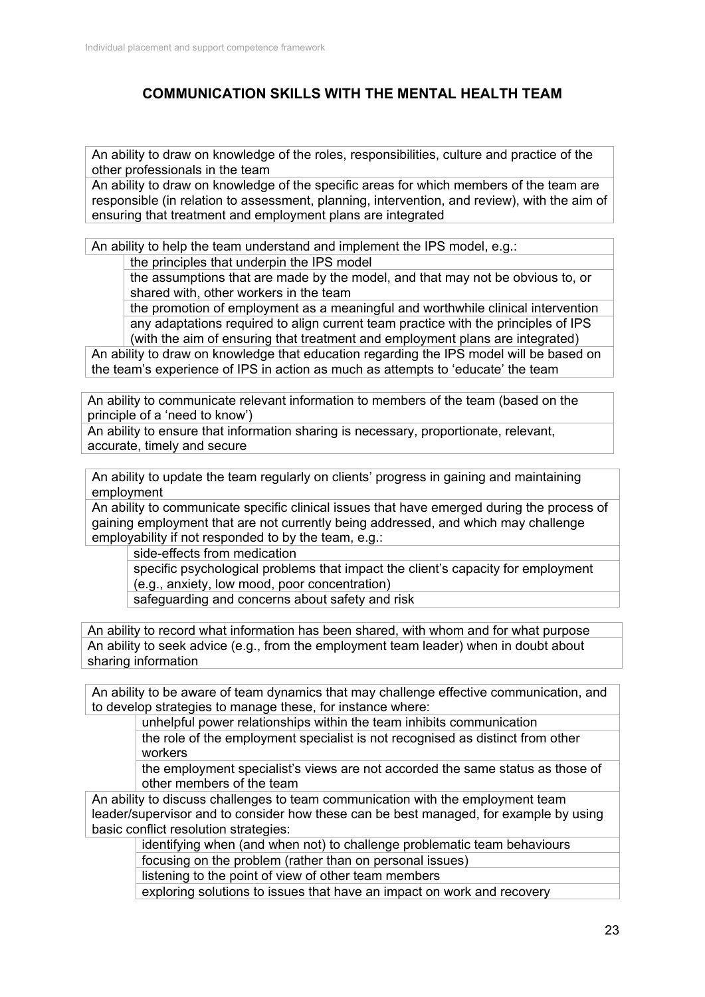# **COMMUNICATION SKILLS WITH THE MENTAL HEALTH TEAM**

An ability to draw on knowledge of the roles, responsibilities, culture and practice of the other professionals in the team

An ability to draw on knowledge of the specific areas for which members of the team are responsible (in relation to assessment, planning, intervention, and review), with the aim of ensuring that treatment and employment plans are integrated

An ability to help the team understand and implement the IPS model, e.g.:

the principles that underpin the IPS model

the assumptions that are made by the model, and that may not be obvious to, or shared with, other workers in the team

the promotion of employment as a meaningful and worthwhile clinical intervention any adaptations required to align current team practice with the principles of IPS (with the aim of ensuring that treatment and employment plans are integrated)

An ability to draw on knowledge that education regarding the IPS model will be based on the team's experience of IPS in action as much as attempts to 'educate' the team

An ability to communicate relevant information to members of the team (based on the principle of a 'need to know')

An ability to ensure that information sharing is necessary, proportionate, relevant, accurate, timely and secure

An ability to update the team regularly on clients' progress in gaining and maintaining employment

An ability to communicate specific clinical issues that have emerged during the process of gaining employment that are not currently being addressed, and which may challenge employability if not responded to by the team, e.g.:

side-effects from medication

specific psychological problems that impact the client's capacity for employment (e.g., anxiety, low mood, poor concentration)

safeguarding and concerns about safety and risk

An ability to record what information has been shared, with whom and for what purpose An ability to seek advice (e.g., from the employment team leader) when in doubt about sharing information

An ability to be aware of team dynamics that may challenge effective communication, and to develop strategies to manage these, for instance where:

unhelpful power relationships within the team inhibits communication

the role of the employment specialist is not recognised as distinct from other workers

the employment specialist's views are not accorded the same status as those of other members of the team

An ability to discuss challenges to team communication with the employment team leader/supervisor and to consider how these can be best managed, for example by using basic conflict resolution strategies:

identifying when (and when not) to challenge problematic team behaviours focusing on the problem (rather than on personal issues)

listening to the point of view of other team members

exploring solutions to issues that have an impact on work and recovery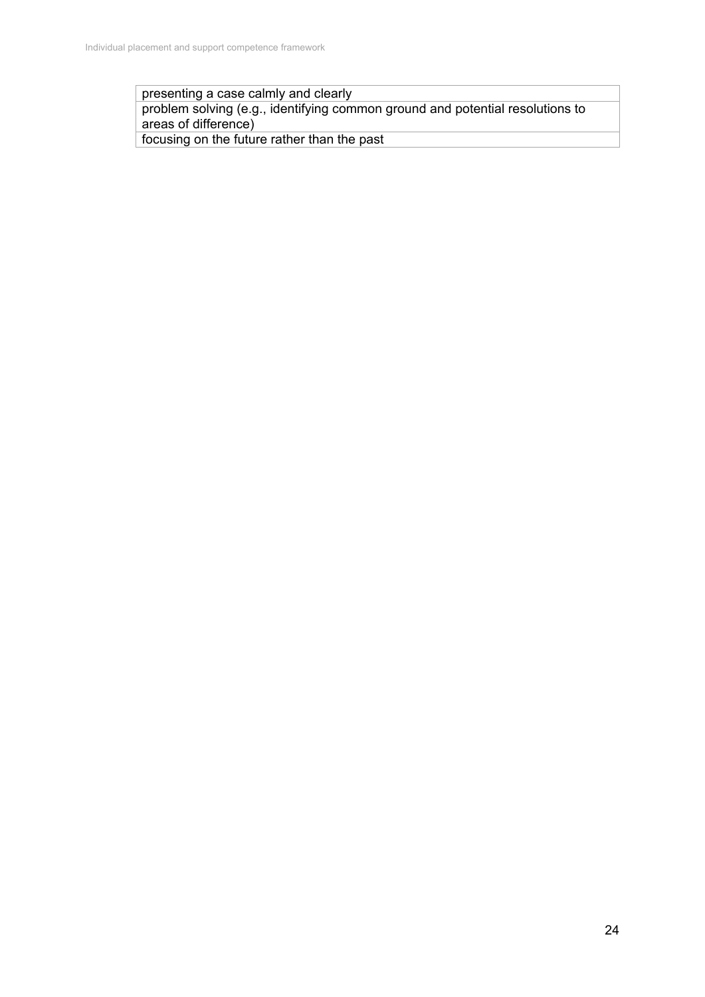presenting a case calmly and clearly

problem solving (e.g., identifying common ground and potential resolutions to areas of difference)

focusing on the future rather than the past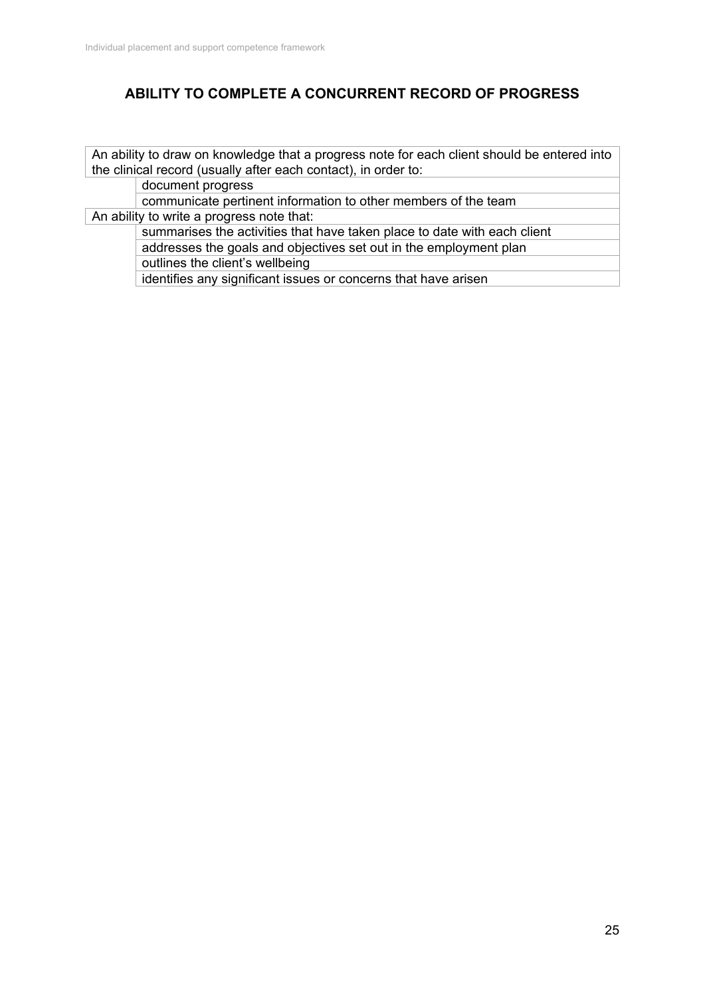# **ABILITY TO COMPLETE A CONCURRENT RECORD OF PROGRESS**

An ability to draw on knowledge that a progress note for each client should be entered into the clinical record (usually after each contact), in order to:

document progress

communicate pertinent information to other members of the team

An ability to write a progress note that:

summarises the activities that have taken place to date with each client addresses the goals and objectives set out in the employment plan outlines the client's wellbeing

identifies any significant issues or concerns that have arisen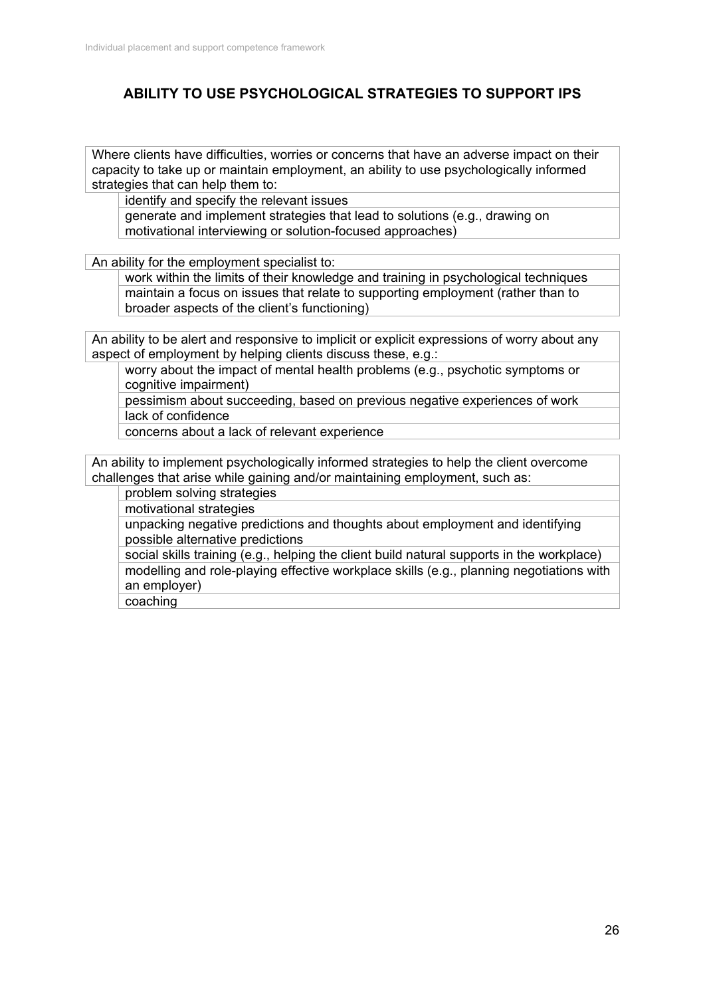## **ABILITY TO USE PSYCHOLOGICAL STRATEGIES TO SUPPORT IPS**

Where clients have difficulties, worries or concerns that have an adverse impact on their capacity to take up or maintain employment, an ability to use psychologically informed strategies that can help them to:

identify and specify the relevant issues

generate and implement strategies that lead to solutions (e.g., drawing on motivational interviewing or solution-focused approaches)

An ability for the employment specialist to:

work within the limits of their knowledge and training in psychological techniques maintain a focus on issues that relate to supporting employment (rather than to broader aspects of the client's functioning)

An ability to be alert and responsive to implicit or explicit expressions of worry about any aspect of employment by helping clients discuss these, e.g.:

worry about the impact of mental health problems (e.g., psychotic symptoms or cognitive impairment)

pessimism about succeeding, based on previous negative experiences of work lack of confidence

concerns about a lack of relevant experience

An ability to implement psychologically informed strategies to help the client overcome challenges that arise while gaining and/or maintaining employment, such as:

problem solving strategies

motivational strategies

unpacking negative predictions and thoughts about employment and identifying possible alternative predictions

social skills training (e.g., helping the client build natural supports in the workplace) modelling and role-playing effective workplace skills (e.g., planning negotiations with an employer)

coaching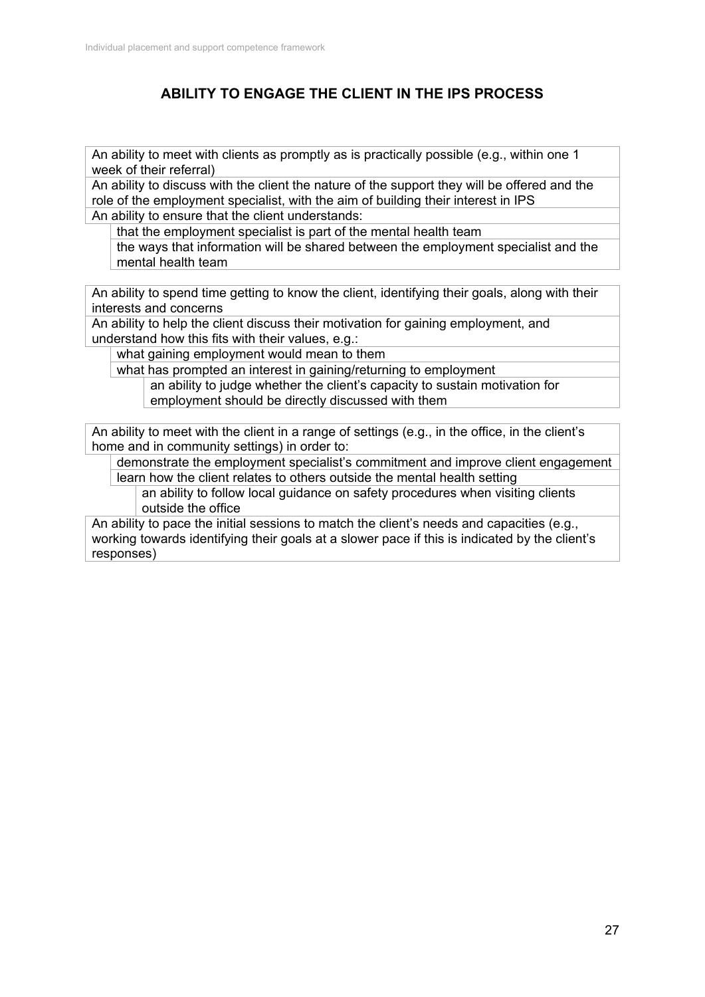# **ABILITY TO ENGAGE THE CLIENT IN THE IPS PROCESS**

An ability to meet with clients as promptly as is practically possible (e.g., within one 1 week of their referral)

An ability to discuss with the client the nature of the support they will be offered and the role of the employment specialist, with the aim of building their interest in IPS An ability to ensure that the client understands:

that the employment specialist is part of the mental health team

the ways that information will be shared between the employment specialist and the mental health team

An ability to spend time getting to know the client, identifying their goals, along with their interests and concerns

An ability to help the client discuss their motivation for gaining employment, and understand how this fits with their values, e.g.:

what gaining employment would mean to them

what has prompted an interest in gaining/returning to employment

an ability to judge whether the client's capacity to sustain motivation for employment should be directly discussed with them

An ability to meet with the client in a range of settings (e.g., in the office, in the client's home and in community settings) in order to:

demonstrate the employment specialist's commitment and improve client engagement learn how the client relates to others outside the mental health setting

an ability to follow local guidance on safety procedures when visiting clients outside the office

An ability to pace the initial sessions to match the client's needs and capacities (e.g., working towards identifying their goals at a slower pace if this is indicated by the client's responses)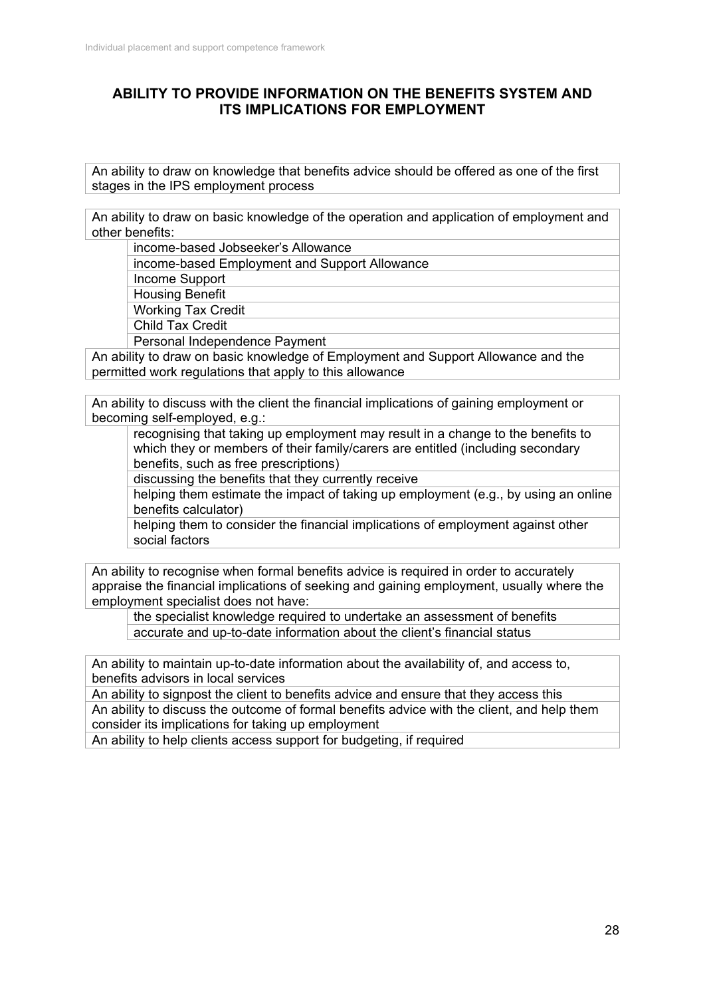## **ABILITY TO PROVIDE INFORMATION ON THE BENEFITS SYSTEM AND ITS IMPLICATIONS FOR EMPLOYMENT**

An ability to draw on knowledge that benefits advice should be offered as one of the first stages in the IPS employment process

An ability to draw on basic knowledge of the operation and application of employment and other benefits:

| income-based Jobseeker's Allowance            |
|-----------------------------------------------|
| income-based Employment and Support Allowance |
| Income Support                                |
| <b>Housing Benefit</b>                        |
| <b>Working Tax Credit</b>                     |
| <b>Child Tax Credit</b>                       |
| Personal Independence Payment                 |

An ability to draw on basic knowledge of Employment and Support Allowance and the permitted work regulations that apply to this allowance

An ability to discuss with the client the financial implications of gaining employment or becoming self-employed, e.g.:

recognising that taking up employment may result in a change to the benefits to which they or members of their family/carers are entitled (including secondary benefits, such as free prescriptions)

discussing the benefits that they currently receive

helping them estimate the impact of taking up employment (e.g., by using an online benefits calculator)

helping them to consider the financial implications of employment against other social factors

An ability to recognise when formal benefits advice is required in order to accurately appraise the financial implications of seeking and gaining employment, usually where the employment specialist does not have:

the specialist knowledge required to undertake an assessment of benefits accurate and up-to-date information about the client's financial status

An ability to maintain up-to-date information about the availability of, and access to, benefits advisors in local services

An ability to signpost the client to benefits advice and ensure that they access this An ability to discuss the outcome of formal benefits advice with the client, and help them consider its implications for taking up employment

An ability to help clients access support for budgeting, if required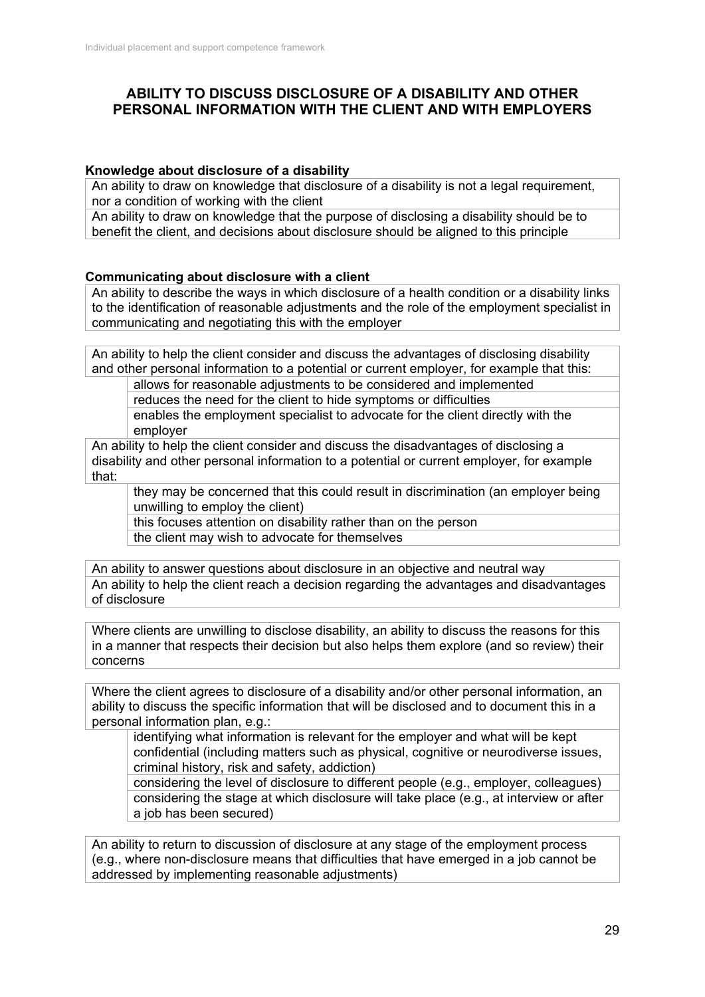## **ABILITY TO DISCUSS DISCLOSURE OF A DISABILITY AND OTHER PERSONAL INFORMATION WITH THE CLIENT AND WITH EMPLOYERS**

#### **Knowledge about disclosure of a disability**

An ability to draw on knowledge that disclosure of a disability is not a legal requirement, nor a condition of working with the client

An ability to draw on knowledge that the purpose of disclosing a disability should be to benefit the client, and decisions about disclosure should be aligned to this principle

## **Communicating about disclosure with a client**

An ability to describe the ways in which disclosure of a health condition or a disability links to the identification of reasonable adjustments and the role of the employment specialist in communicating and negotiating this with the employer

An ability to help the client consider and discuss the advantages of disclosing disability and other personal information to a potential or current employer, for example that this:

allows for reasonable adjustments to be considered and implemented

reduces the need for the client to hide symptoms or difficulties

enables the employment specialist to advocate for the client directly with the employer

An ability to help the client consider and discuss the disadvantages of disclosing a disability and other personal information to a potential or current employer, for example that:

they may be concerned that this could result in discrimination (an employer being unwilling to employ the client)

this focuses attention on disability rather than on the person

the client may wish to advocate for themselves

An ability to answer questions about disclosure in an objective and neutral way An ability to help the client reach a decision regarding the advantages and disadvantages of disclosure

Where clients are unwilling to disclose disability, an ability to discuss the reasons for this in a manner that respects their decision but also helps them explore (and so review) their concerns

Where the client agrees to disclosure of a disability and/or other personal information, an ability to discuss the specific information that will be disclosed and to document this in a personal information plan, e.g.:

identifying what information is relevant for the employer and what will be kept confidential (including matters such as physical, cognitive or neurodiverse issues, criminal history, risk and safety, addiction)

considering the level of disclosure to different people (e.g., employer, colleagues) considering the stage at which disclosure will take place (e.g., at interview or after a job has been secured)

An ability to return to discussion of disclosure at any stage of the employment process (e.g., where non-disclosure means that difficulties that have emerged in a job cannot be addressed by implementing reasonable adjustments)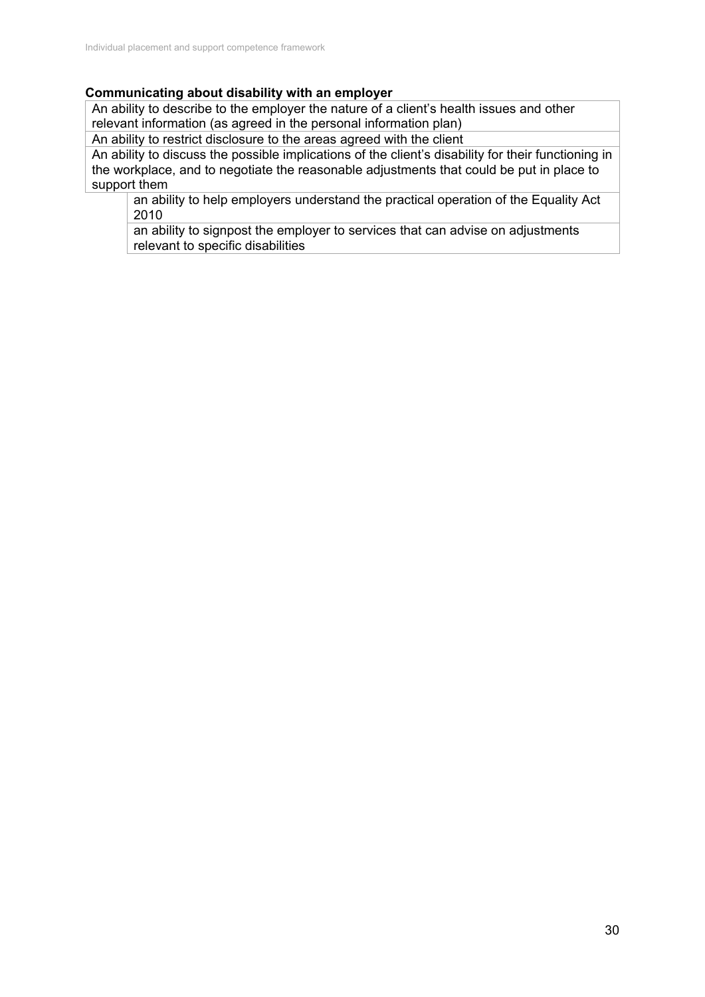### **Communicating about disability with an employer**

An ability to describe to the employer the nature of a client's health issues and other relevant information (as agreed in the personal information plan)

An ability to restrict disclosure to the areas agreed with the client

An ability to discuss the possible implications of the client's disability for their functioning in the workplace, and to negotiate the reasonable adjustments that could be put in place to support them

an ability to help employers understand the practical operation of the Equality Act 2010

an ability to signpost the employer to services that can advise on adjustments relevant to specific disabilities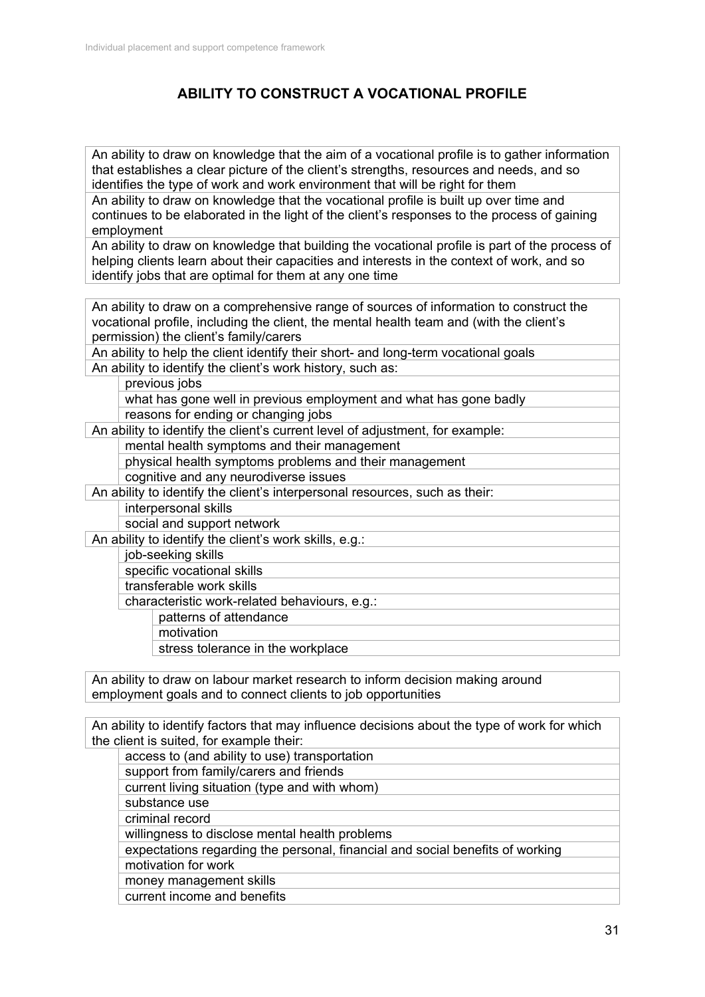# **ABILITY TO CONSTRUCT A VOCATIONAL PROFILE**

An ability to draw on knowledge that the aim of a vocational profile is to gather information that establishes a clear picture of the client's strengths, resources and needs, and so identifies the type of work and work environment that will be right for them An ability to draw on knowledge that the vocational profile is built up over time and

continues to be elaborated in the light of the client's responses to the process of gaining employment

An ability to draw on knowledge that building the vocational profile is part of the process of helping clients learn about their capacities and interests in the context of work, and so identify jobs that are optimal for them at any one time

An ability to draw on a comprehensive range of sources of information to construct the vocational profile, including the client, the mental health team and (with the client's permission) the client's family/carers

An ability to help the client identify their short- and long-term vocational goals An ability to identify the client's work history, such as:

previous jobs

what has gone well in previous employment and what has gone badly reasons for ending or changing jobs

An ability to identify the client's current level of adjustment, for example:

mental health symptoms and their management

physical health symptoms problems and their management

cognitive and any neurodiverse issues

An ability to identify the client's interpersonal resources, such as their:

interpersonal skills

social and support network

An ability to identify the client's work skills, e.g.:

job-seeking skills

specific vocational skills

transferable work skills

characteristic work-related behaviours, e.g.:

- patterns of attendance
	- motivation

stress tolerance in the workplace

An ability to draw on labour market research to inform decision making around employment goals and to connect clients to job opportunities

An ability to identify factors that may influence decisions about the type of work for which the client is suited, for example their:

access to (and ability to use) transportation

support from family/carers and friends

current living situation (type and with whom)

substance use

criminal record

willingness to disclose mental health problems

expectations regarding the personal, financial and social benefits of working motivation for work

money management skills

current income and benefits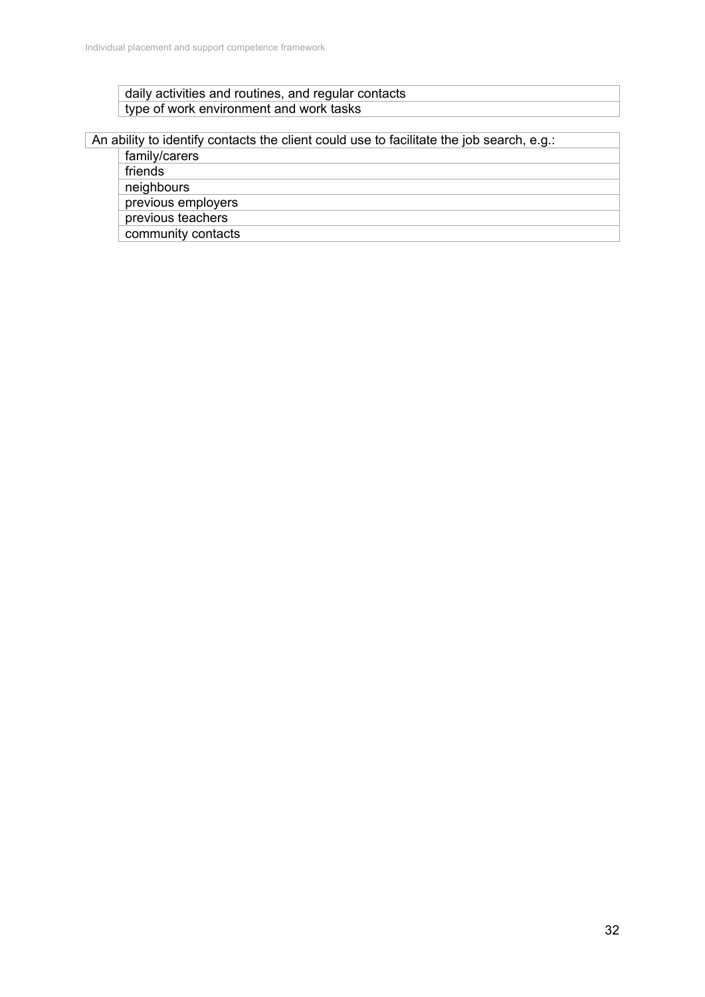## daily activities and routines, and regular contacts type of work environment and work tasks

## An ability to identify contacts the client could use to facilitate the job search, e.g.:

family/carers

friends

neighbours

previous employers

previous teachers community contacts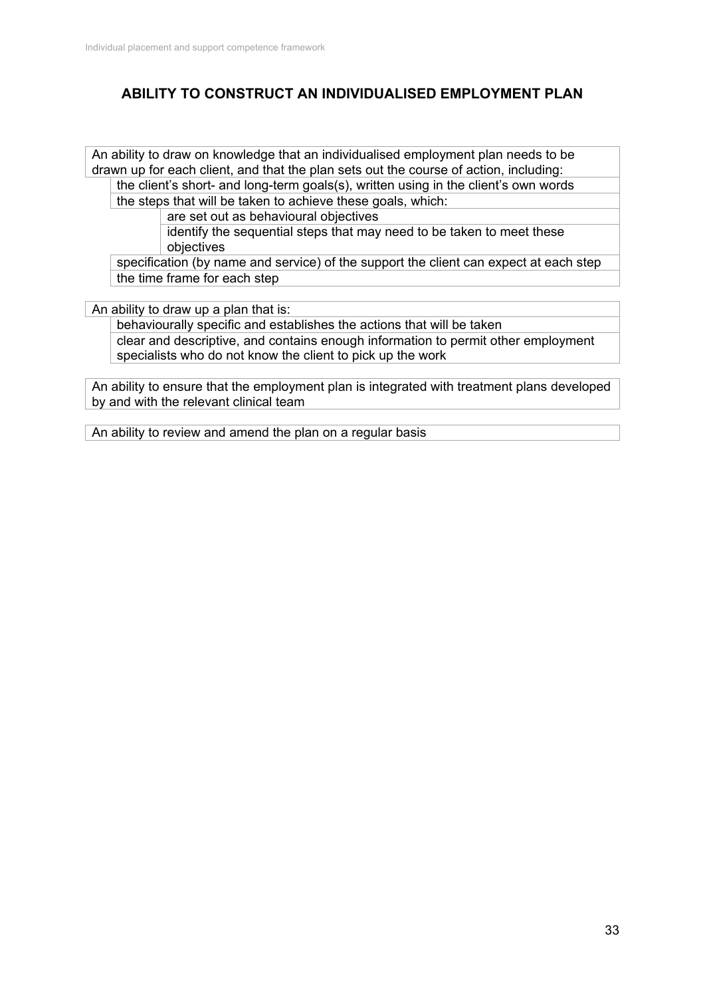# **ABILITY TO CONSTRUCT AN INDIVIDUALISED EMPLOYMENT PLAN**

An ability to draw on knowledge that an individualised employment plan needs to be drawn up for each client, and that the plan sets out the course of action, including: the client's short- and long-term goals(s), written using in the client's own words

the steps that will be taken to achieve these goals, which:

are set out as behavioural objectives

identify the sequential steps that may need to be taken to meet these objectives

specification (by name and service) of the support the client can expect at each step the time frame for each step

An ability to draw up a plan that is:

behaviourally specific and establishes the actions that will be taken clear and descriptive, and contains enough information to permit other employment specialists who do not know the client to pick up the work

An ability to ensure that the employment plan is integrated with treatment plans developed by and with the relevant clinical team

An ability to review and amend the plan on a regular basis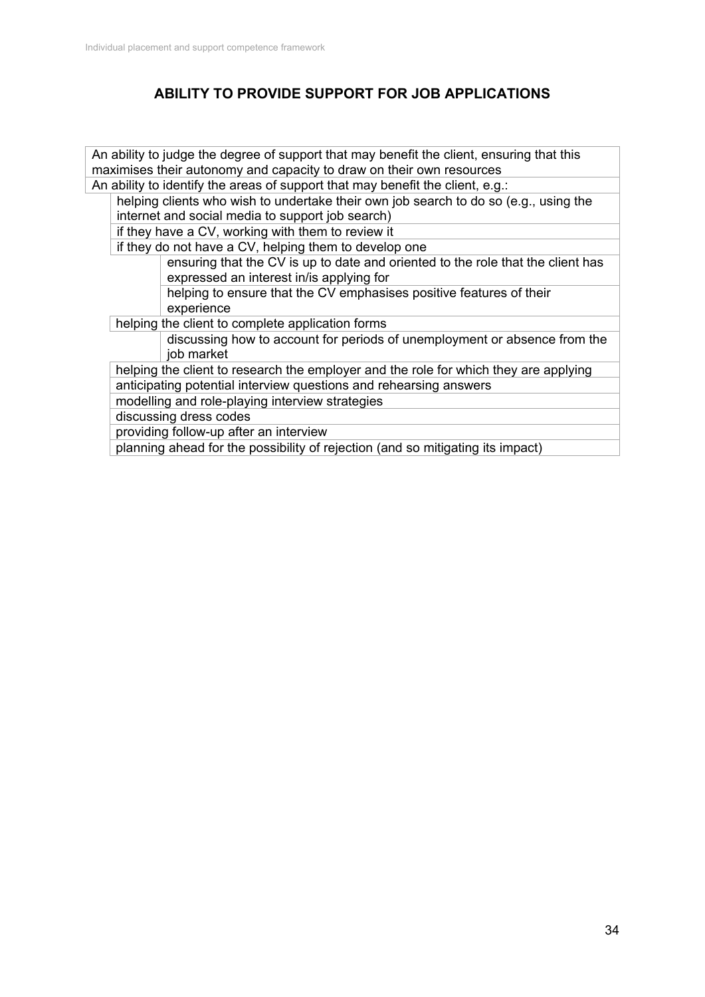# **ABILITY TO PROVIDE SUPPORT FOR JOB APPLICATIONS**

An ability to judge the degree of support that may benefit the client, ensuring that this maximises their autonomy and capacity to draw on their own resources An ability to identify the areas of support that may benefit the client, e.g.: helping clients who wish to undertake their own job search to do so (e.g., using the internet and social media to support job search) if they have a CV, working with them to review it if they do not have a CV, helping them to develop one ensuring that the CV is up to date and oriented to the role that the client has expressed an interest in/is applying for helping to ensure that the CV emphasises positive features of their experience helping the client to complete application forms discussing how to account for periods of unemployment or absence from the job market helping the client to research the employer and the role for which they are applying anticipating potential interview questions and rehearsing answers modelling and role-playing interview strategies discussing dress codes providing follow-up after an interview planning ahead for the possibility of rejection (and so mitigating its impact)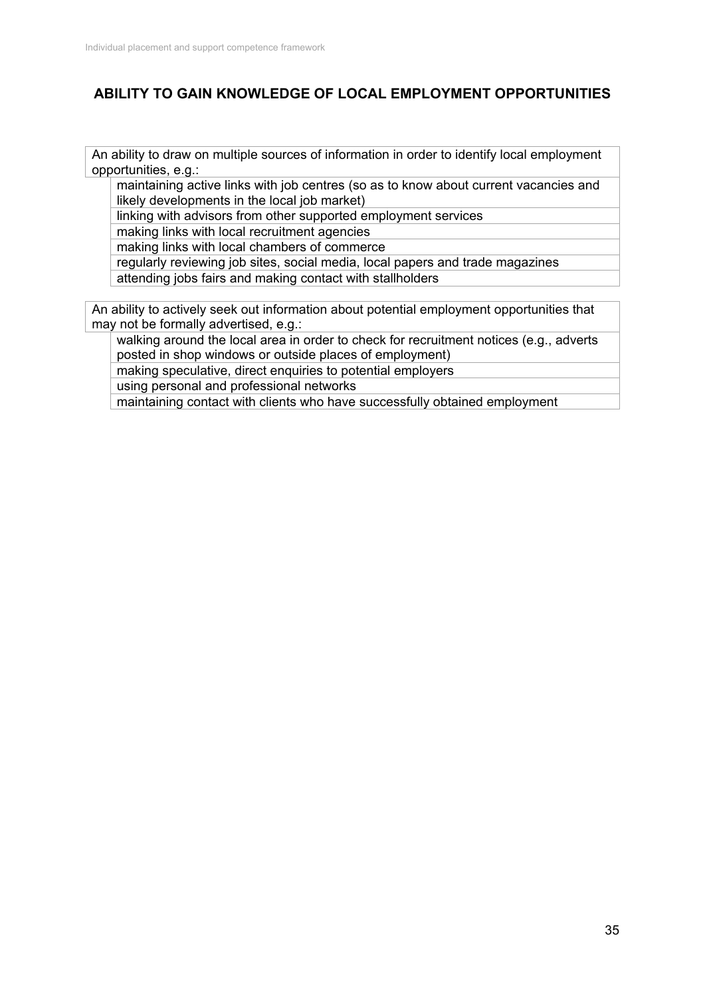# **ABILITY TO GAIN KNOWLEDGE OF LOCAL EMPLOYMENT OPPORTUNITIES**

An ability to draw on multiple sources of information in order to identify local employment opportunities, e.g.:

maintaining active links with job centres (so as to know about current vacancies and likely developments in the local job market)

linking with advisors from other supported employment services

making links with local recruitment agencies

making links with local chambers of commerce

regularly reviewing job sites, social media, local papers and trade magazines attending jobs fairs and making contact with stallholders

An ability to actively seek out information about potential employment opportunities that may not be formally advertised, e.g.:

walking around the local area in order to check for recruitment notices (e.g., adverts posted in shop windows or outside places of employment)

making speculative, direct enquiries to potential employers

using personal and professional networks

maintaining contact with clients who have successfully obtained employment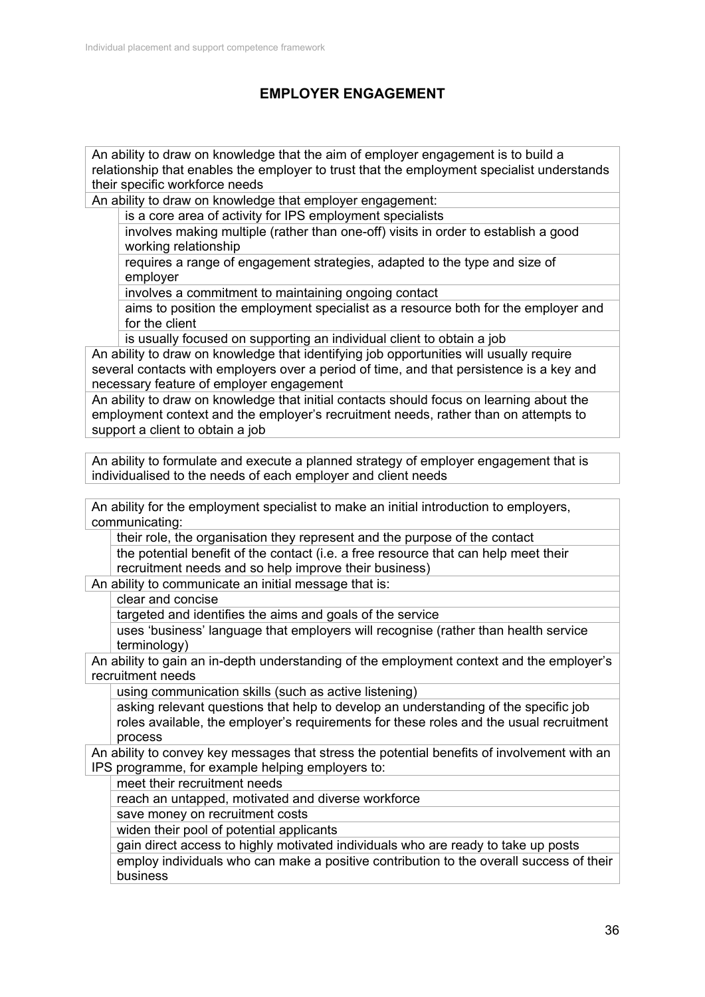# **EMPLOYER ENGAGEMENT**

An ability to draw on knowledge that the aim of employer engagement is to build a relationship that enables the employer to trust that the employment specialist understands their specific workforce needs

An ability to draw on knowledge that employer engagement:

is a core area of activity for IPS employment specialists

involves making multiple (rather than one-off) visits in order to establish a good working relationship

requires a range of engagement strategies, adapted to the type and size of employer

involves a commitment to maintaining ongoing contact

aims to position the employment specialist as a resource both for the employer and for the client

is usually focused on supporting an individual client to obtain a job

An ability to draw on knowledge that identifying job opportunities will usually require several contacts with employers over a period of time, and that persistence is a key and necessary feature of employer engagement

An ability to draw on knowledge that initial contacts should focus on learning about the employment context and the employer's recruitment needs, rather than on attempts to support a client to obtain a job

An ability to formulate and execute a planned strategy of employer engagement that is individualised to the needs of each employer and client needs

An ability for the employment specialist to make an initial introduction to employers, communicating:

their role, the organisation they represent and the purpose of the contact the potential benefit of the contact (i.e. a free resource that can help meet their recruitment needs and so help improve their business)

An ability to communicate an initial message that is:

clear and concise

targeted and identifies the aims and goals of the service

uses 'business' language that employers will recognise (rather than health service terminology)

An ability to gain an in-depth understanding of the employment context and the employer's recruitment needs

using communication skills (such as active listening)

asking relevant questions that help to develop an understanding of the specific job roles available, the employer's requirements for these roles and the usual recruitment process

An ability to convey key messages that stress the potential benefits of involvement with an IPS programme, for example helping employers to:

meet their recruitment needs

reach an untapped, motivated and diverse workforce

save money on recruitment costs

widen their pool of potential applicants

gain direct access to highly motivated individuals who are ready to take up posts employ individuals who can make a positive contribution to the overall success of their

business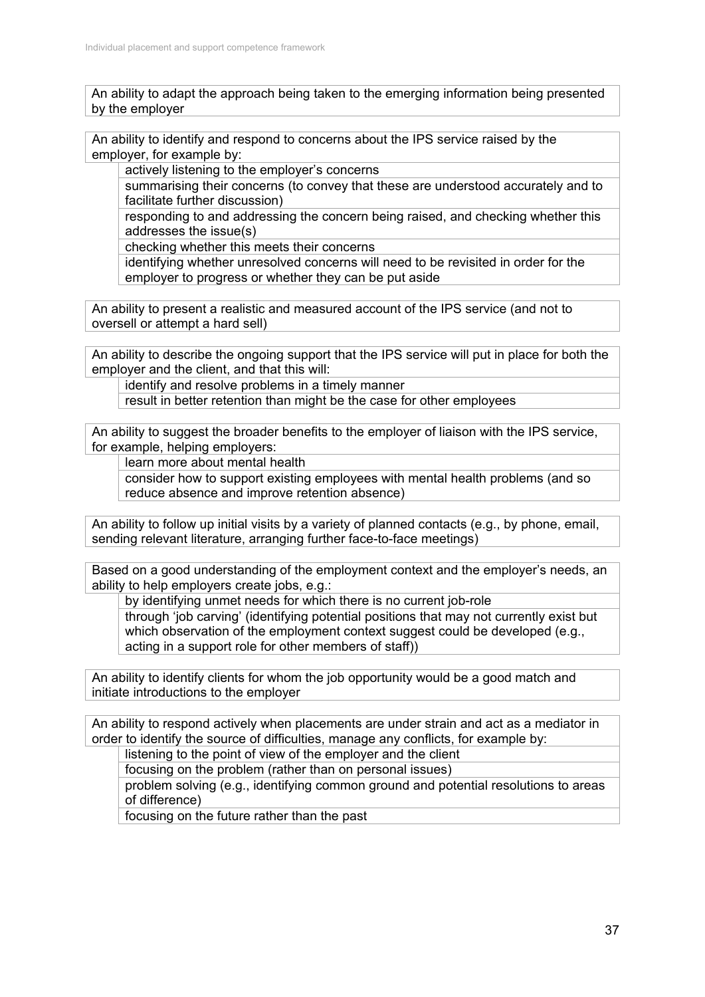An ability to adapt the approach being taken to the emerging information being presented by the employer

An ability to identify and respond to concerns about the IPS service raised by the employer, for example by:

actively listening to the employer's concerns

summarising their concerns (to convey that these are understood accurately and to facilitate further discussion)

responding to and addressing the concern being raised, and checking whether this addresses the issue(s)

checking whether this meets their concerns

identifying whether unresolved concerns will need to be revisited in order for the employer to progress or whether they can be put aside

An ability to present a realistic and measured account of the IPS service (and not to oversell or attempt a hard sell)

An ability to describe the ongoing support that the IPS service will put in place for both the employer and the client, and that this will:

identify and resolve problems in a timely manner

result in better retention than might be the case for other employees

An ability to suggest the broader benefits to the employer of liaison with the IPS service, for example, helping employers:

learn more about mental health

consider how to support existing employees with mental health problems (and so reduce absence and improve retention absence)

An ability to follow up initial visits by a variety of planned contacts (e.g., by phone, email, sending relevant literature, arranging further face-to-face meetings)

Based on a good understanding of the employment context and the employer's needs, an ability to help employers create jobs, e.g.:

by identifying unmet needs for which there is no current job-role

through 'job carving' (identifying potential positions that may not currently exist but which observation of the employment context suggest could be developed (e.g., acting in a support role for other members of staff))

An ability to identify clients for whom the job opportunity would be a good match and initiate introductions to the employer

An ability to respond actively when placements are under strain and act as a mediator in order to identify the source of difficulties, manage any conflicts, for example by:

listening to the point of view of the employer and the client

focusing on the problem (rather than on personal issues)

problem solving (e.g., identifying common ground and potential resolutions to areas of difference)

focusing on the future rather than the past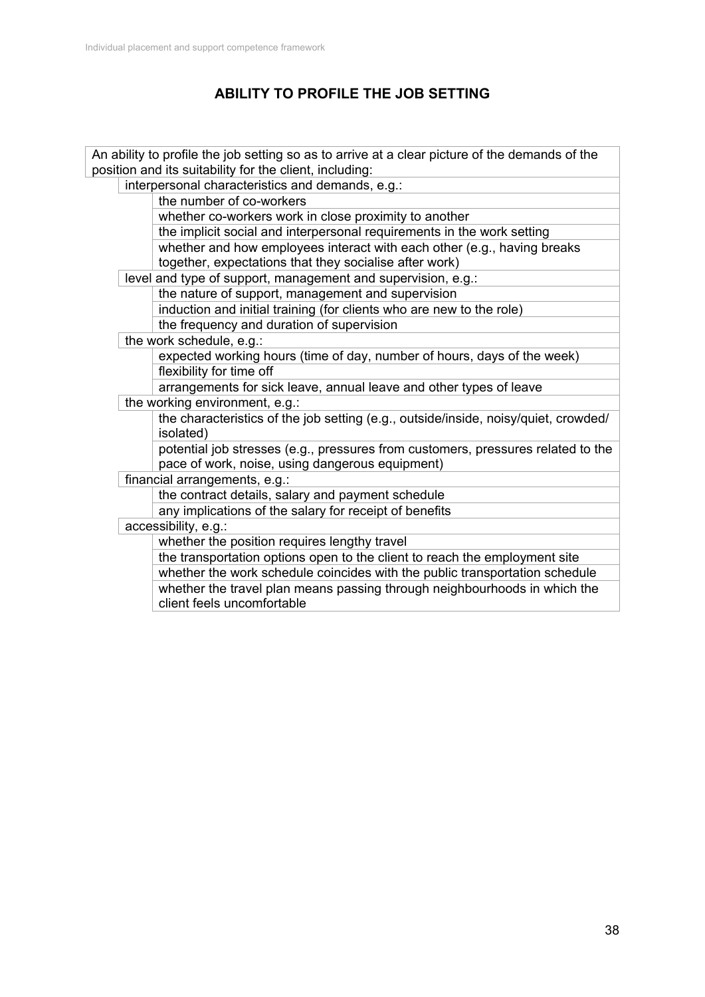# **ABILITY TO PROFILE THE JOB SETTING**

|                                                         |                                                              | An ability to profile the job setting so as to arrive at a clear picture of the demands of the                                      |  |  |
|---------------------------------------------------------|--------------------------------------------------------------|-------------------------------------------------------------------------------------------------------------------------------------|--|--|
| position and its suitability for the client, including: |                                                              |                                                                                                                                     |  |  |
|                                                         |                                                              | interpersonal characteristics and demands, e.g.:                                                                                    |  |  |
|                                                         |                                                              | the number of co-workers                                                                                                            |  |  |
|                                                         |                                                              | whether co-workers work in close proximity to another                                                                               |  |  |
|                                                         |                                                              | the implicit social and interpersonal requirements in the work setting                                                              |  |  |
|                                                         |                                                              | whether and how employees interact with each other (e.g., having breaks                                                             |  |  |
|                                                         |                                                              | together, expectations that they socialise after work)                                                                              |  |  |
|                                                         | level and type of support, management and supervision, e.g.: |                                                                                                                                     |  |  |
|                                                         |                                                              | the nature of support, management and supervision                                                                                   |  |  |
|                                                         |                                                              | induction and initial training (for clients who are new to the role)                                                                |  |  |
|                                                         |                                                              | the frequency and duration of supervision                                                                                           |  |  |
|                                                         | the work schedule, e.g.:                                     |                                                                                                                                     |  |  |
|                                                         |                                                              | expected working hours (time of day, number of hours, days of the week)                                                             |  |  |
|                                                         |                                                              | flexibility for time off                                                                                                            |  |  |
|                                                         |                                                              | arrangements for sick leave, annual leave and other types of leave                                                                  |  |  |
|                                                         | the working environment, e.g.:                               |                                                                                                                                     |  |  |
|                                                         |                                                              | the characteristics of the job setting (e.g., outside/inside, noisy/quiet, crowded/<br>isolated)                                    |  |  |
|                                                         |                                                              | potential job stresses (e.g., pressures from customers, pressures related to the<br>pace of work, noise, using dangerous equipment) |  |  |
|                                                         |                                                              | financial arrangements, e.g.:                                                                                                       |  |  |
|                                                         |                                                              | the contract details, salary and payment schedule                                                                                   |  |  |
|                                                         |                                                              | any implications of the salary for receipt of benefits                                                                              |  |  |
|                                                         |                                                              | accessibility, e.g.:                                                                                                                |  |  |
|                                                         |                                                              | whether the position requires lengthy travel                                                                                        |  |  |
|                                                         |                                                              | the transportation options open to the client to reach the employment site                                                          |  |  |
|                                                         |                                                              | whether the work schedule coincides with the public transportation schedule                                                         |  |  |
|                                                         |                                                              | whether the travel plan means passing through neighbourhoods in which the<br>client feels uncomfortable                             |  |  |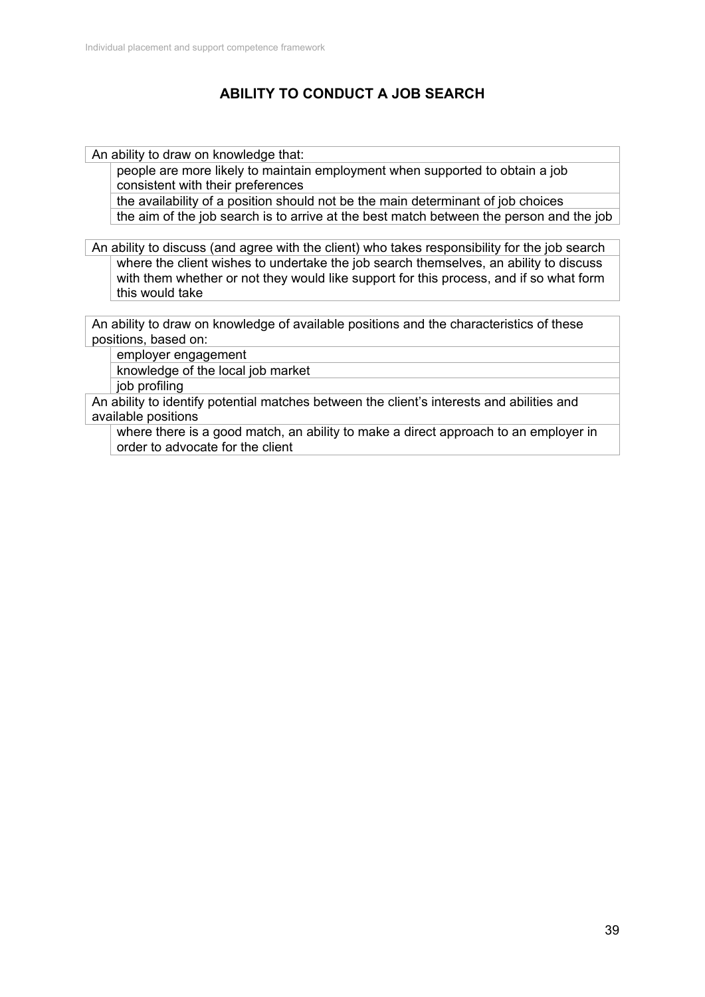# **ABILITY TO CONDUCT A JOB SEARCH**

An ability to draw on knowledge that:

people are more likely to maintain employment when supported to obtain a job consistent with their preferences

the availability of a position should not be the main determinant of job choices the aim of the job search is to arrive at the best match between the person and the job

An ability to discuss (and agree with the client) who takes responsibility for the job search where the client wishes to undertake the job search themselves, an ability to discuss with them whether or not they would like support for this process, and if so what form this would take

An ability to draw on knowledge of available positions and the characteristics of these positions, based on:

employer engagement knowledge of the local job market job profiling

An ability to identify potential matches between the client's interests and abilities and available positions

where there is a good match, an ability to make a direct approach to an employer in order to advocate for the client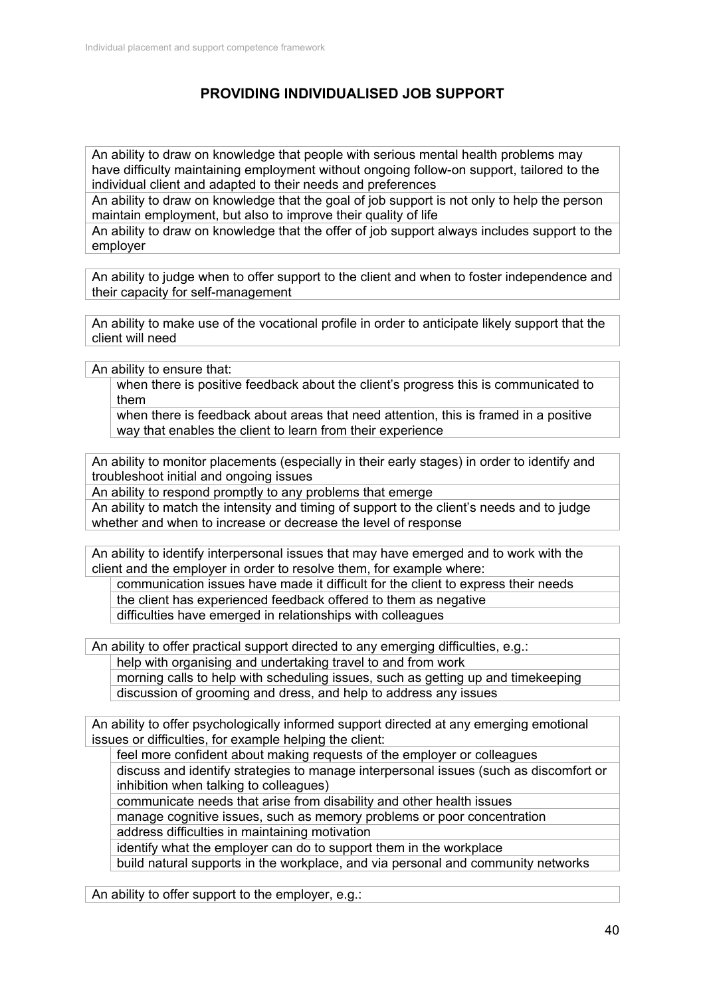# **PROVIDING INDIVIDUALISED JOB SUPPORT**

An ability to draw on knowledge that people with serious mental health problems may have difficulty maintaining employment without ongoing follow-on support, tailored to the individual client and adapted to their needs and preferences

An ability to draw on knowledge that the goal of job support is not only to help the person maintain employment, but also to improve their quality of life

An ability to draw on knowledge that the offer of job support always includes support to the employer

An ability to judge when to offer support to the client and when to foster independence and their capacity for self-management

An ability to make use of the vocational profile in order to anticipate likely support that the client will need

An ability to ensure that:

when there is positive feedback about the client's progress this is communicated to them

when there is feedback about areas that need attention, this is framed in a positive way that enables the client to learn from their experience

An ability to monitor placements (especially in their early stages) in order to identify and troubleshoot initial and ongoing issues

An ability to respond promptly to any problems that emerge

An ability to match the intensity and timing of support to the client's needs and to judge whether and when to increase or decrease the level of response

An ability to identify interpersonal issues that may have emerged and to work with the client and the employer in order to resolve them, for example where:

communication issues have made it difficult for the client to express their needs the client has experienced feedback offered to them as negative difficulties have emerged in relationships with colleagues

An ability to offer practical support directed to any emerging difficulties, e.g.:

help with organising and undertaking travel to and from work

morning calls to help with scheduling issues, such as getting up and timekeeping discussion of grooming and dress, and help to address any issues

An ability to offer psychologically informed support directed at any emerging emotional issues or difficulties, for example helping the client:

feel more confident about making requests of the employer or colleagues

discuss and identify strategies to manage interpersonal issues (such as discomfort or inhibition when talking to colleagues)

communicate needs that arise from disability and other health issues

manage cognitive issues, such as memory problems or poor concentration

address difficulties in maintaining motivation

identify what the employer can do to support them in the workplace

build natural supports in the workplace, and via personal and community networks

An ability to offer support to the employer, e.g.: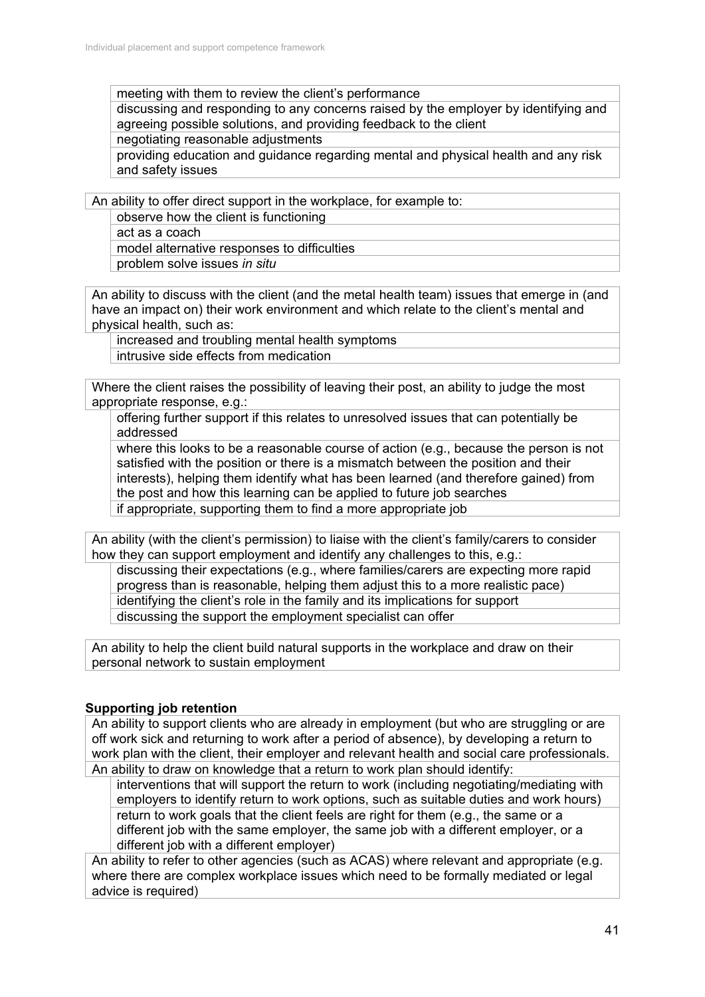meeting with them to review the client's performance

discussing and responding to any concerns raised by the employer by identifying and agreeing possible solutions, and providing feedback to the client

negotiating reasonable adjustments

providing education and guidance regarding mental and physical health and any risk and safety issues

An ability to offer direct support in the workplace, for example to:

observe how the client is functioning

act as a coach model alternative responses to difficulties problem solve issues *in situ*

An ability to discuss with the client (and the metal health team) issues that emerge in (and have an impact on) their work environment and which relate to the client's mental and physical health, such as:

increased and troubling mental health symptoms intrusive side effects from medication

Where the client raises the possibility of leaving their post, an ability to judge the most appropriate response, e.g.:

offering further support if this relates to unresolved issues that can potentially be addressed

where this looks to be a reasonable course of action (e.g., because the person is not satisfied with the position or there is a mismatch between the position and their interests), helping them identify what has been learned (and therefore gained) from the post and how this learning can be applied to future job searches if appropriate, supporting them to find a more appropriate job

An ability (with the client's permission) to liaise with the client's family/carers to consider how they can support employment and identify any challenges to this, e.g.:

discussing their expectations (e.g., where families/carers are expecting more rapid progress than is reasonable, helping them adjust this to a more realistic pace) identifying the client's role in the family and its implications for support discussing the support the employment specialist can offer

An ability to help the client build natural supports in the workplace and draw on their personal network to sustain employment

### **Supporting job retention**

An ability to support clients who are already in employment (but who are struggling or are off work sick and returning to work after a period of absence), by developing a return to work plan with the client, their employer and relevant health and social care professionals. An ability to draw on knowledge that a return to work plan should identify:

interventions that will support the return to work (including negotiating/mediating with employers to identify return to work options, such as suitable duties and work hours) return to work goals that the client feels are right for them (e.g., the same or a different job with the same employer, the same job with a different employer, or a different job with a different employer)

An ability to refer to other agencies (such as ACAS) where relevant and appropriate (e.g. where there are complex workplace issues which need to be formally mediated or legal advice is required)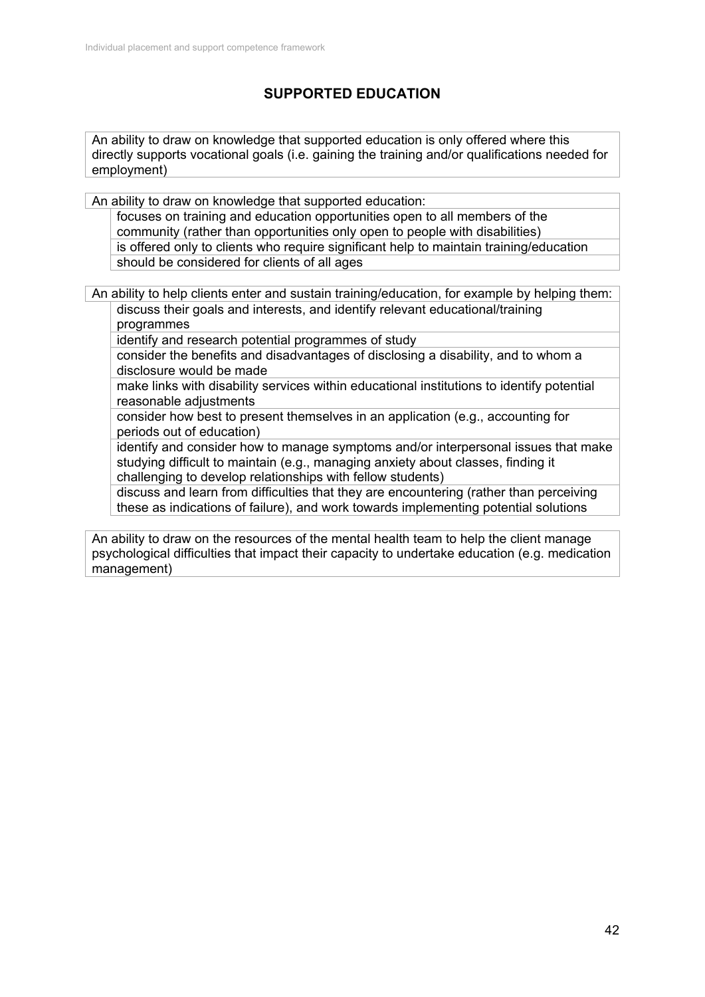# **SUPPORTED EDUCATION**

An ability to draw on knowledge that supported education is only offered where this directly supports vocational goals (i.e. gaining the training and/or qualifications needed for employment)

An ability to draw on knowledge that supported education:

focuses on training and education opportunities open to all members of the community (rather than opportunities only open to people with disabilities) is offered only to clients who require significant help to maintain training/education should be considered for clients of all ages

An ability to help clients enter and sustain training/education, for example by helping them: discuss their goals and interests, and identify relevant educational/training programmes

identify and research potential programmes of study

consider the benefits and disadvantages of disclosing a disability, and to whom a disclosure would be made

make links with disability services within educational institutions to identify potential reasonable adjustments

consider how best to present themselves in an application (e.g., accounting for periods out of education)

identify and consider how to manage symptoms and/or interpersonal issues that make studying difficult to maintain (e.g., managing anxiety about classes, finding it challenging to develop relationships with fellow students)

discuss and learn from difficulties that they are encountering (rather than perceiving these as indications of failure), and work towards implementing potential solutions

An ability to draw on the resources of the mental health team to help the client manage psychological difficulties that impact their capacity to undertake education (e.g. medication management)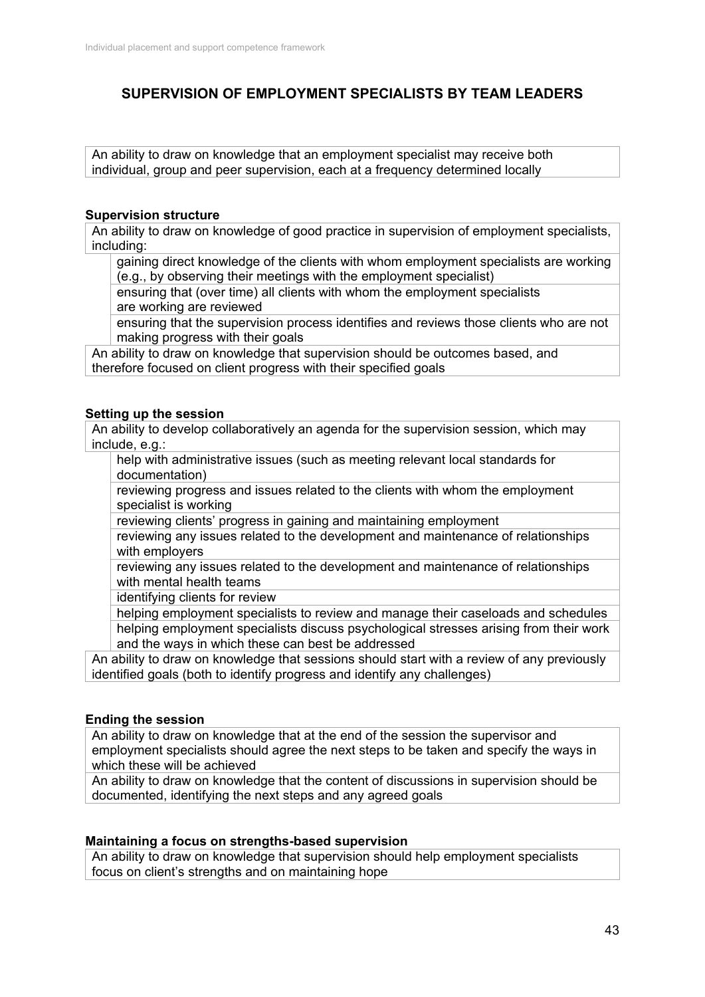## **SUPERVISION OF EMPLOYMENT SPECIALISTS BY TEAM LEADERS**

An ability to draw on knowledge that an employment specialist may receive both individual, group and peer supervision, each at a frequency determined locally

#### **Supervision structure**

An ability to draw on knowledge of good practice in supervision of employment specialists, including:

gaining direct knowledge of the clients with whom employment specialists are working (e.g., by observing their meetings with the employment specialist)

ensuring that (over time) all clients with whom the employment specialists are working are reviewed

ensuring that the supervision process identifies and reviews those clients who are not making progress with their goals

An ability to draw on knowledge that supervision should be outcomes based, and therefore focused on client progress with their specified goals

#### **Setting up the session**

An ability to develop collaboratively an agenda for the supervision session, which may include, e.g.:

help with administrative issues (such as meeting relevant local standards for documentation)

reviewing progress and issues related to the clients with whom the employment specialist is working

reviewing clients' progress in gaining and maintaining employment

reviewing any issues related to the development and maintenance of relationships with employers

reviewing any issues related to the development and maintenance of relationships with mental health teams

identifying clients for review

helping employment specialists to review and manage their caseloads and schedules helping employment specialists discuss psychological stresses arising from their work and the ways in which these can best be addressed

An ability to draw on knowledge that sessions should start with a review of any previously identified goals (both to identify progress and identify any challenges)

### **Ending the session**

An ability to draw on knowledge that at the end of the session the supervisor and employment specialists should agree the next steps to be taken and specify the ways in which these will be achieved

An ability to draw on knowledge that the content of discussions in supervision should be documented, identifying the next steps and any agreed goals

#### **Maintaining a focus on strengths-based supervision**

An ability to draw on knowledge that supervision should help employment specialists focus on client's strengths and on maintaining hope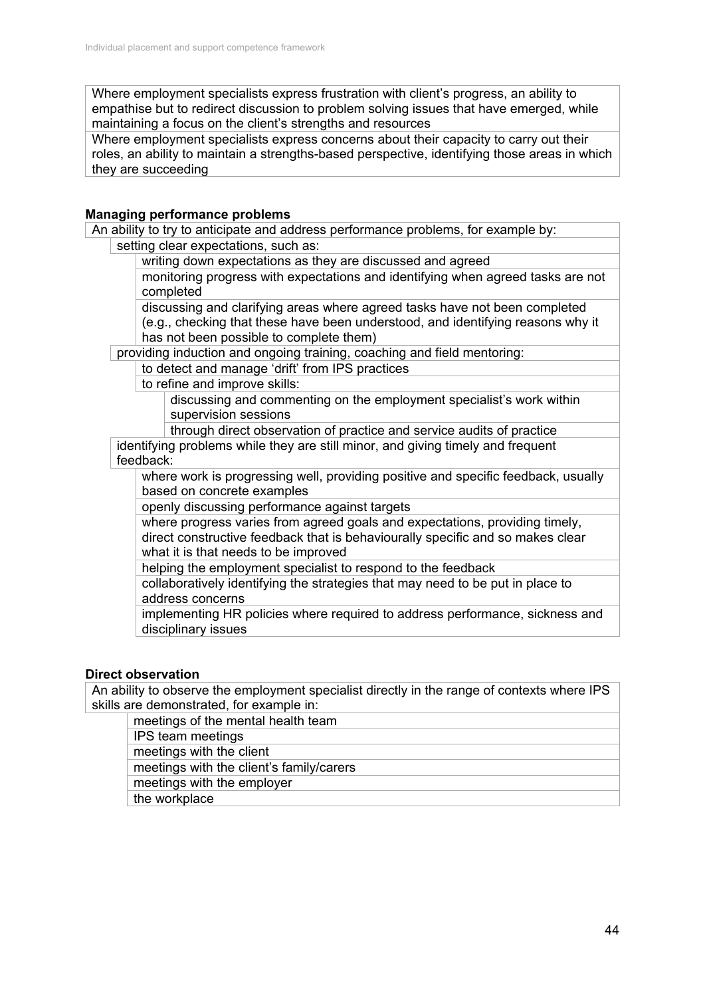Where employment specialists express frustration with client's progress, an ability to empathise but to redirect discussion to problem solving issues that have emerged, while maintaining a focus on the client's strengths and resources

Where employment specialists express concerns about their capacity to carry out their roles, an ability to maintain a strengths-based perspective, identifying those areas in which they are succeeding

### **Managing performance problems**

An ability to try to anticipate and address performance problems, for example by: setting clear expectations, such as:

writing down expectations as they are discussed and agreed

monitoring progress with expectations and identifying when agreed tasks are not completed

discussing and clarifying areas where agreed tasks have not been completed (e.g., checking that these have been understood, and identifying reasons why it has not been possible to complete them)

providing induction and ongoing training, coaching and field mentoring:

to detect and manage 'drift' from IPS practices

to refine and improve skills:

discussing and commenting on the employment specialist's work within supervision sessions

through direct observation of practice and service audits of practice

identifying problems while they are still minor, and giving timely and frequent feedback:

where work is progressing well, providing positive and specific feedback, usually based on concrete examples

openly discussing performance against targets

where progress varies from agreed goals and expectations, providing timely, direct constructive feedback that is behaviourally specific and so makes clear what it is that needs to be improved

helping the employment specialist to respond to the feedback

collaboratively identifying the strategies that may need to be put in place to address concerns

implementing HR policies where required to address performance, sickness and disciplinary issues

## **Direct observation**

An ability to observe the employment specialist directly in the range of contexts where IPS skills are demonstrated, for example in:

meetings of the mental health team

IPS team meetings

meetings with the client

meetings with the client's family/carers

meetings with the employer

the workplace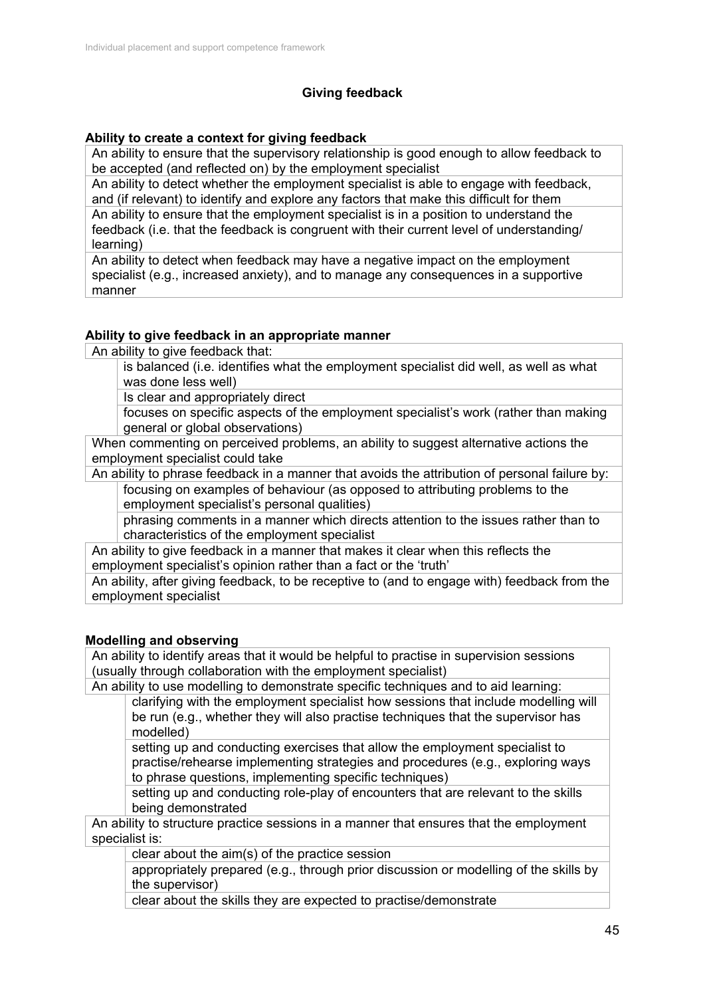## **Giving feedback**

## **Ability to create a context for giving feedback**

An ability to ensure that the supervisory relationship is good enough to allow feedback to be accepted (and reflected on) by the employment specialist

An ability to detect whether the employment specialist is able to engage with feedback, and (if relevant) to identify and explore any factors that make this difficult for them An ability to ensure that the employment specialist is in a position to understand the feedback (i.e. that the feedback is congruent with their current level of understanding/ learning)

An ability to detect when feedback may have a negative impact on the employment specialist (e.g., increased anxiety), and to manage any consequences in a supportive manner

### **Ability to give feedback in an appropriate manner**

An ability to give feedback that:

is balanced (i.e. identifies what the employment specialist did well, as well as what was done less well)

Is clear and appropriately direct

focuses on specific aspects of the employment specialist's work (rather than making general or global observations)

When commenting on perceived problems, an ability to suggest alternative actions the employment specialist could take

An ability to phrase feedback in a manner that avoids the attribution of personal failure by: focusing on examples of behaviour (as opposed to attributing problems to the employment specialist's personal qualities)

phrasing comments in a manner which directs attention to the issues rather than to characteristics of the employment specialist

An ability to give feedback in a manner that makes it clear when this reflects the employment specialist's opinion rather than a fact or the 'truth'

An ability, after giving feedback, to be receptive to (and to engage with) feedback from the employment specialist

### **Modelling and observing**

An ability to identify areas that it would be helpful to practise in supervision sessions (usually through collaboration with the employment specialist)

An ability to use modelling to demonstrate specific techniques and to aid learning: clarifying with the employment specialist how sessions that include modelling will be run (e.g., whether they will also practise techniques that the supervisor has modelled)

setting up and conducting exercises that allow the employment specialist to practise/rehearse implementing strategies and procedures (e.g., exploring ways to phrase questions, implementing specific techniques)

setting up and conducting role-play of encounters that are relevant to the skills being demonstrated

An ability to structure practice sessions in a manner that ensures that the employment specialist is:

clear about the aim(s) of the practice session

appropriately prepared (e.g., through prior discussion or modelling of the skills by the supervisor)

clear about the skills they are expected to practise/demonstrate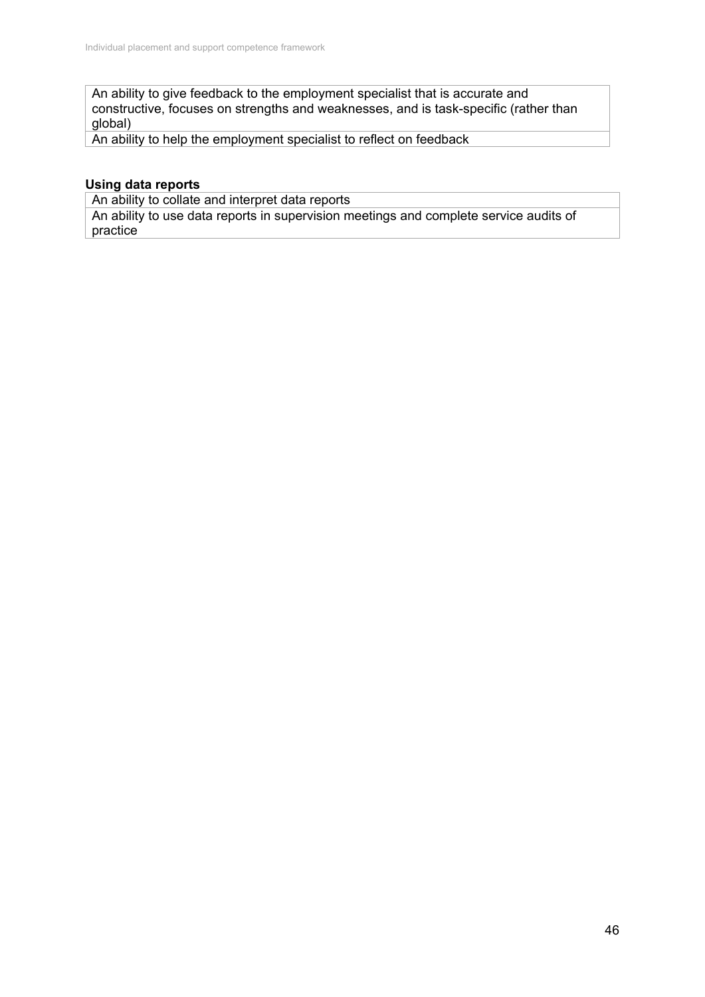An ability to give feedback to the employment specialist that is accurate and constructive, focuses on strengths and weaknesses, and is task-specific (rather than global)

An ability to help the employment specialist to reflect on feedback

## **Using data reports**

An ability to collate and interpret data reports

An ability to use data reports in supervision meetings and complete service audits of practice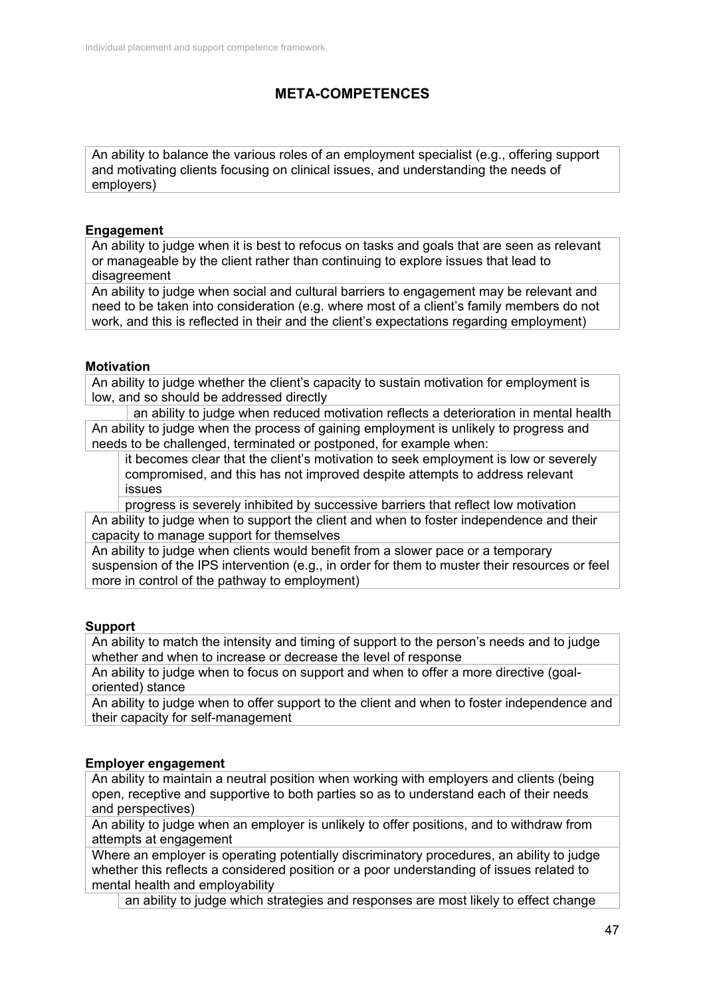# **META-COMPETENCES**

An ability to balance the various roles of an employment specialist (e.g., offering support and motivating clients focusing on clinical issues, and understanding the needs of employers)

### **Engagement**

An ability to judge when it is best to refocus on tasks and goals that are seen as relevant or manageable by the client rather than continuing to explore issues that lead to disagreement

An ability to judge when social and cultural barriers to engagement may be relevant and need to be taken into consideration (e.g. where most of a client's family members do not work, and this is reflected in their and the client's expectations regarding employment)

### **Motivation**

An ability to judge whether the client's capacity to sustain motivation for employment is low, and so should be addressed directly

an ability to judge when reduced motivation reflects a deterioration in mental health An ability to judge when the process of gaining employment is unlikely to progress and needs to be challenged, terminated or postponed, for example when:

it becomes clear that the client's motivation to seek employment is low or severely compromised, and this has not improved despite attempts to address relevant issues

progress is severely inhibited by successive barriers that reflect low motivation An ability to judge when to support the client and when to foster independence and their capacity to manage support for themselves

An ability to judge when clients would benefit from a slower pace or a temporary suspension of the IPS intervention (e.g., in order for them to muster their resources or feel more in control of the pathway to employment)

### **Support**

An ability to match the intensity and timing of support to the person's needs and to judge whether and when to increase or decrease the level of response

An ability to judge when to focus on support and when to offer a more directive (goaloriented) stance

An ability to judge when to offer support to the client and when to foster independence and their capacity for self-management

## **Employer engagement**

An ability to maintain a neutral position when working with employers and clients (being open, receptive and supportive to both parties so as to understand each of their needs and perspectives)

An ability to judge when an employer is unlikely to offer positions, and to withdraw from attempts at engagement

Where an employer is operating potentially discriminatory procedures, an ability to judge whether this reflects a considered position or a poor understanding of issues related to mental health and employability

an ability to judge which strategies and responses are most likely to effect change